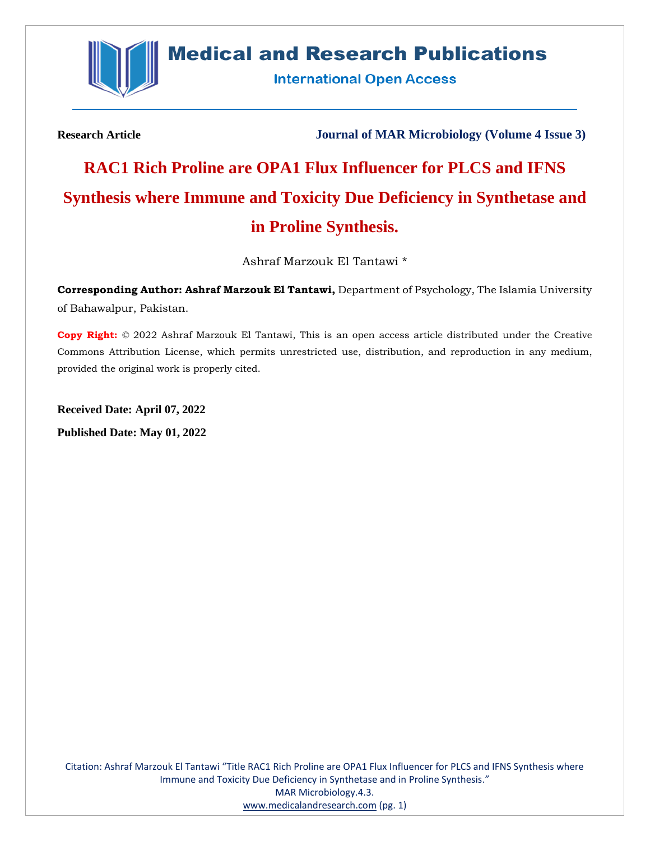

## **Medical and Research Publications**

**International Open Access** 

**Research Article Journal of MAR Microbiology (Volume 4 Issue 3)**

# **RAC1 Rich Proline are OPA1 Flux Influencer for PLCS and IFNS Synthesis where Immune and Toxicity Due Deficiency in Synthetase and in Proline Synthesis.**

Ashraf Marzouk El Tantawi \*

**Corresponding Author: Ashraf Marzouk El Tantawi,** Department of Psychology, The Islamia University of Bahawalpur, Pakistan.

**Copy Right:** © 2022 Ashraf Marzouk El Tantawi, This is an open access article distributed under the Creative Commons Attribution License, which permits unrestricted use, distribution, and reproduction in any medium, provided the original work is properly cited.

**Received Date: April 07, 2022 Published Date: May 01, 2022**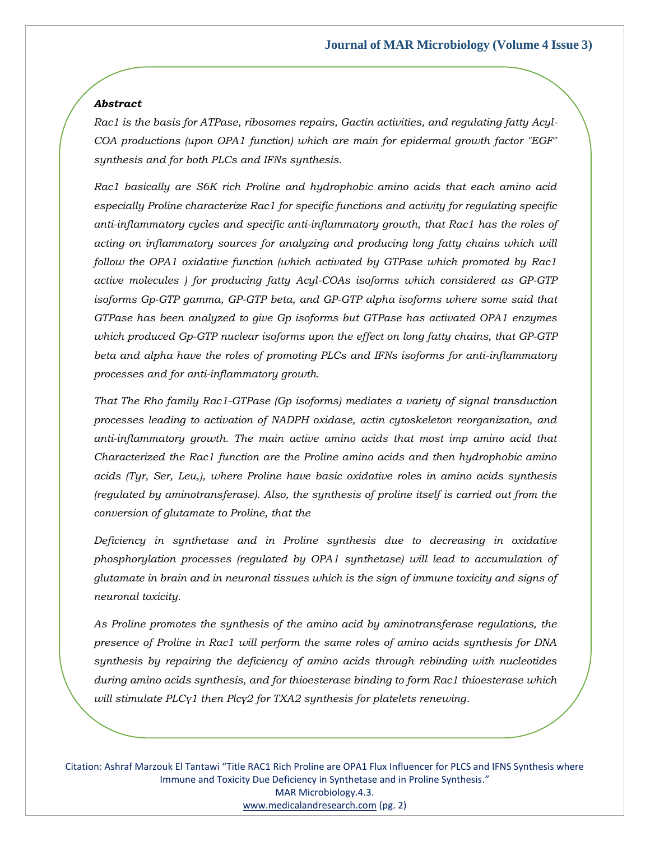#### *Abstract*

*Rac1 is the basis for ATPase, ribosomes repairs, Gactin activities, and regulating fatty Acyl-COA productions (upon OPA1 function) which are main for epidermal growth factor "EGF" synthesis and for both PLCs and IFNs synthesis.* 

*Rac1 basically are S6K rich Proline and hydrophobic amino acids that each amino acid especially Proline characterize Rac1 for specific functions and activity for regulating specific anti-inflammatory cycles and specific anti-inflammatory growth, that Rac1 has the roles of acting on inflammatory sources for analyzing and producing long fatty chains which will follow the OPA1 oxidative function (which activated by GTPase which promoted by Rac1 active molecules ) for producing fatty Acyl-COAs isoforms which considered as GP-GTP isoforms Gp-GTP gamma, GP-GTP beta, and GP-GTP alpha isoforms where some said that GTPase has been analyzed to give Gp isoforms but GTPase has activated OPA1 enzymes which produced Gp-GTP nuclear isoforms upon the effect on long fatty chains, that GP-GTP beta and alpha have the roles of promoting PLCs and IFNs isoforms for anti-inflammatory processes and for anti-inflammatory growth.* 

*That The Rho family Rac1-GTPase (Gp isoforms) mediates a variety of signal transduction processes leading to activation of NADPH oxidase, actin cytoskeleton reorganization, and anti-inflammatory growth. The main active amino acids that most imp amino acid that Characterized the Rac1 function are the Proline amino acids and then hydrophobic amino acids (Tyr, Ser, Leu,), where Proline have basic oxidative roles in amino acids synthesis (regulated by aminotransferase). Also, the synthesis of proline itself is carried out from the conversion of glutamate to Proline, that the* 

*Deficiency in synthetase and in Proline synthesis due to decreasing in oxidative phosphorylation processes (regulated by OPA1 synthetase) will lead to accumulation of glutamate in brain and in neuronal tissues which is the sign of immune toxicity and signs of neuronal toxicity.*

*As Proline promotes the synthesis of the amino acid by aminotransferase regulations, the presence of Proline in Rac1 will perform the same roles of amino acids synthesis for DNA synthesis by repairing the deficiency of amino acids through rebinding with nucleotides during amino acids synthesis, and for thioesterase binding to form Rac1 thioesterase which will stimulate PLCγ1 then Plcγ2 for TXA2 synthesis for platelets renewing.*

Citation: Ashraf Marzouk El Tantawi "Title RAC1 Rich Proline are OPA1 Flux Influencer for PLCS and IFNS Synthesis where Immune and Toxicity Due Deficiency in Synthetase and in Proline Synthesis." MAR Microbiology.4.3. [www.medicalandresearch.com](http://www.medicalandresearch.com/) (pg. 2)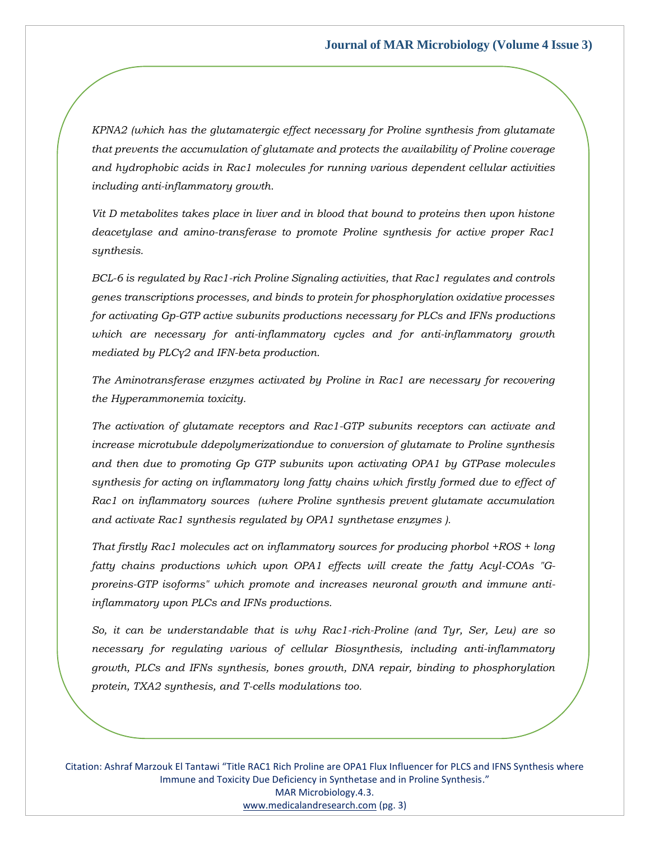*KPNA2 (which has the glutamatergic effect necessary for Proline synthesis from glutamate that prevents the accumulation of glutamate and protects the availability of Proline coverage and hydrophobic acids in Rac1 molecules for running various dependent cellular activities including anti-inflammatory growth.* 

*Vit D metabolites takes place in liver and in blood that bound to proteins then upon histone deacetylase and amino-transferase to promote Proline synthesis for active proper Rac1 synthesis.* 

*BCL-6 is regulated by Rac1-rich Proline Signaling activities, that Rac1 regulates and controls genes transcriptions processes, and binds to protein for phosphorylation oxidative processes for activating Gp-GTP active subunits productions necessary for PLCs and IFNs productions which are necessary for anti-inflammatory cycles and for anti-inflammatory growth mediated by PLCγ2 and IFN-beta production.* 

*The Aminotransferase enzymes activated by Proline in Rac1 are necessary for recovering the Hyperammonemia toxicity.* 

*The activation of glutamate receptors and Rac1-GTP subunits receptors can activate and increase microtubule ddepolymerizationdue to conversion of glutamate to Proline synthesis and then due to promoting Gp GTP subunits upon activating OPA1 by GTPase molecules synthesis for acting on inflammatory long fatty chains which firstly formed due to effect of Rac1 on inflammatory sources (where Proline synthesis prevent glutamate accumulation and activate Rac1 synthesis regulated by OPA1 synthetase enzymes ).* 

*That firstly Rac1 molecules act on inflammatory sources for producing phorbol +ROS + long fatty chains productions which upon OPA1 effects will create the fatty Acyl-COAs "Gproreins-GTP isoforms" which promote and increases neuronal growth and immune antiinflammatory upon PLCs and IFNs productions.* 

*So, it can be understandable that is why Rac1-rich-Proline (and Tyr, Ser, Leu) are so necessary for regulating various of cellular Biosynthesis, including anti-inflammatory growth, PLCs and IFNs synthesis, bones growth, DNA repair, binding to phosphorylation protein, TXA2 synthesis, and T-cells modulations too.*

Citation: Ashraf Marzouk El Tantawi "Title RAC1 Rich Proline are OPA1 Flux Influencer for PLCS and IFNS Synthesis where Immune and Toxicity Due Deficiency in Synthetase and in Proline Synthesis." MAR Microbiology.4.3. [www.medicalandresearch.com](http://www.medicalandresearch.com/) (pg. 3)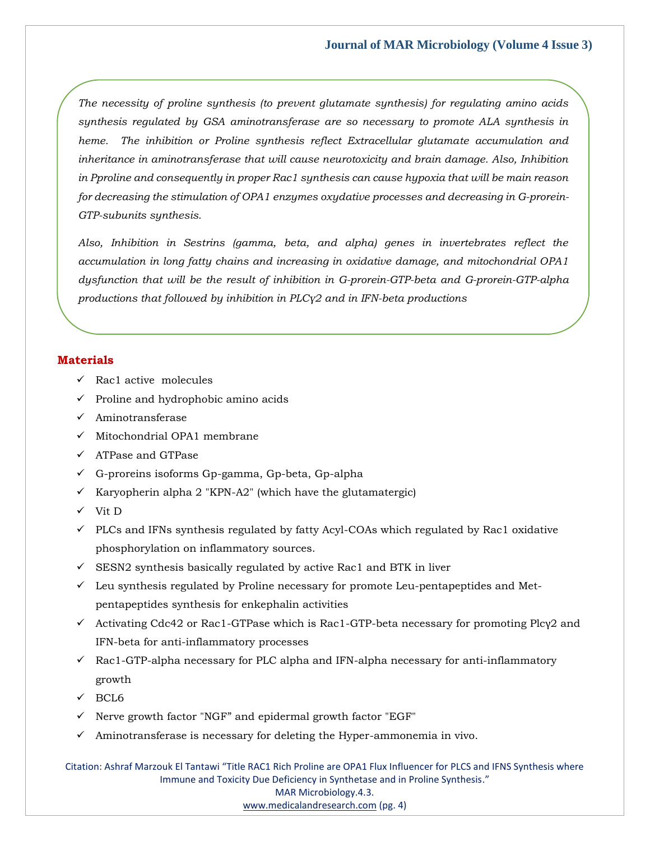*The necessity of proline synthesis (to prevent glutamate synthesis) for regulating amino acids synthesis regulated by GSA aminotransferase are so necessary to promote ALA synthesis in heme. The inhibition or Proline synthesis reflect Extracellular glutamate accumulation and inheritance in aminotransferase that will cause neurotoxicity and brain damage. Also, Inhibition in Pproline and consequently in proper Rac1 synthesis can cause hypoxia that will be main reason for decreasing the stimulation of OPA1 enzymes oxydative processes and decreasing in G-prorein-GTP-subunits synthesis.* 

*Also, Inhibition in Sestrins (gamma, beta, and alpha) genes in invertebrates reflect the accumulation in long fatty chains and increasing in oxidative damage, and mitochondrial OPA1 dysfunction that will be the result of inhibition in G-prorein-GTP-beta and G-prorein-GTP-alpha productions that followed by inhibition in PLCγ2 and in IFN-beta productions*

#### **Materials**

- $\checkmark$  Rac1 active molecules
- $\checkmark$  Proline and hydrophobic amino acids
- ✓ Aminotransferase
- ✓ Mitochondrial OPA1 membrane
- ✓ ATPase and GTPase
- ✓ G-proreins isoforms Gp-gamma, Gp-beta, Gp-alpha
- $\checkmark$  Karyopherin alpha 2 "KPN-A2" (which have the glutamatergic)
- ✓ Vit D
- $\checkmark$  PLCs and IFNs synthesis regulated by fatty Acyl-COAs which regulated by Rac1 oxidative phosphorylation on inflammatory sources.
- $\checkmark$  SESN2 synthesis basically regulated by active Rac1 and BTK in liver
- $\checkmark$  Leu synthesis regulated by Proline necessary for promote Leu-pentapeptides and Metpentapeptides synthesis for enkephalin activities
- $\checkmark$  Activating Cdc42 or Rac1-GTPase which is Rac1-GTP-beta necessary for promoting Plcy2 and IFN-beta for anti-inflammatory processes
- $\checkmark$  Rac1-GTP-alpha necessary for PLC alpha and IFN-alpha necessary for anti-inflammatory growth
- $\sqrt{BCL}$
- ✓ Nerve growth factor "NGF" and epidermal growth factor "EGF"
- $\checkmark$  Aminotransferase is necessary for deleting the Hyper-ammonemia in vivo.

Citation: Ashraf Marzouk El Tantawi "Title RAC1 Rich Proline are OPA1 Flux Influencer for PLCS and IFNS Synthesis where Immune and Toxicity Due Deficiency in Synthetase and in Proline Synthesis." MAR Microbiology.4.3. [www.medicalandresearch.com](http://www.medicalandresearch.com/) (pg. 4)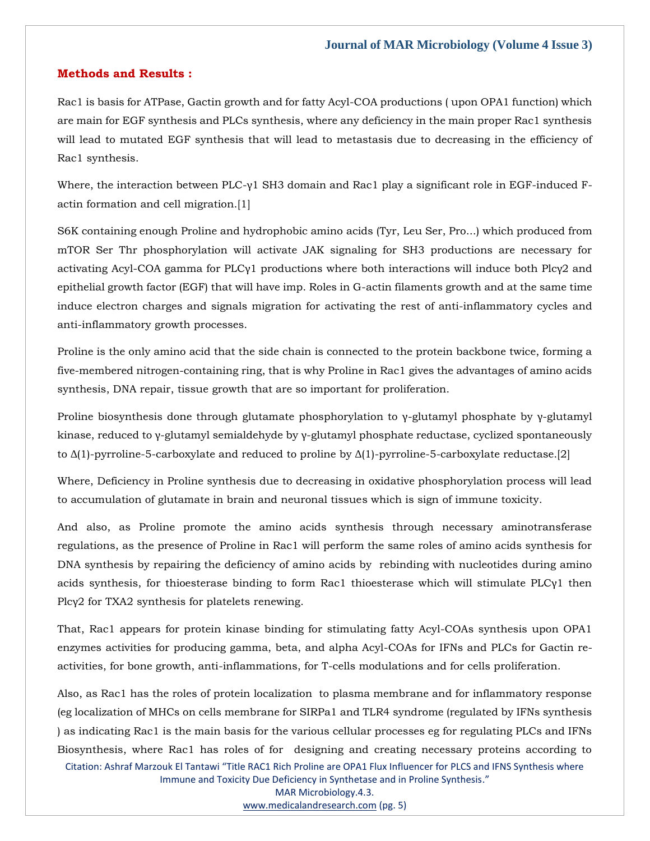#### **Methods and Results :**

Rac1 is basis for ATPase, Gactin growth and for fatty Acyl-COA productions ( upon OPA1 function) which are main for EGF synthesis and PLCs synthesis, where any deficiency in the main proper Rac1 synthesis will lead to mutated EGF synthesis that will lead to metastasis due to decreasing in the efficiency of Rac1 synthesis.

Where, the interaction between PLC-γ1 SH3 domain and Rac1 play a significant role in EGF-induced Factin formation and cell migration.[1]

S6K containing enough Proline and hydrophobic amino acids (Tyr, Leu Ser, Pro...) which produced from mTOR Ser Thr phosphorylation will activate JAK signaling for SH3 productions are necessary for activating Acyl-COA gamma for PLCγ1 productions where both interactions will induce both Plcγ2 and epithelial growth factor (EGF) that will have imp. Roles in G-actin filaments growth and at the same time induce electron charges and signals migration for activating the rest of anti-inflammatory cycles and anti-inflammatory growth processes.

Proline is the only amino acid that the side chain is connected to the protein backbone twice, forming a five-membered nitrogen-containing ring, that is why Proline in Rac1 gives the advantages of amino acids synthesis, DNA repair, tissue growth that are so important for proliferation.

Proline biosynthesis done through glutamate phosphorylation to γ-glutamyl phosphate by γ-glutamyl kinase, reduced to γ-glutamyl semialdehyde by γ-glutamyl phosphate reductase, cyclized spontaneously to  $\Delta(1)$ -pyrroline-5-carboxylate and reduced to proline by  $\Delta(1)$ -pyrroline-5-carboxylate reductase.[2]

Where, Deficiency in Proline synthesis due to decreasing in oxidative phosphorylation process will lead to accumulation of glutamate in brain and neuronal tissues which is sign of immune toxicity.

And also, as Proline promote the amino acids synthesis through necessary aminotransferase regulations, as the presence of Proline in Rac1 will perform the same roles of amino acids synthesis for DNA synthesis by repairing the deficiency of amino acids by rebinding with nucleotides during amino acids synthesis, for thioesterase binding to form Rac1 thioesterase which will stimulate PLCγ1 then Plcγ2 for TXA2 synthesis for platelets renewing.

That, Rac1 appears for protein kinase binding for stimulating fatty Acyl-COAs synthesis upon OPA1 enzymes activities for producing gamma, beta, and alpha Acyl-COAs for IFNs and PLCs for Gactin reactivities, for bone growth, anti-inflammations, for T-cells modulations and for cells proliferation.

Citation: Ashraf Marzouk El Tantawi "Title RAC1 Rich Proline are OPA1 Flux Influencer for PLCS and IFNS Synthesis where Also, as Rac1 has the roles of protein localization to plasma membrane and for inflammatory response (eg localization of MHCs on cells membrane for SIRPa1 and TLR4 syndrome (regulated by IFNs synthesis ) as indicating Rac1 is the main basis for the various cellular processes eg for regulating PLCs and IFNs Biosynthesis, where Rac1 has roles of for designing and creating necessary proteins according to

Immune and Toxicity Due Deficiency in Synthetase and in Proline Synthesis."

MAR Microbiology.4.3.

[www.medicalandresearch.com](http://www.medicalandresearch.com/) (pg. 5)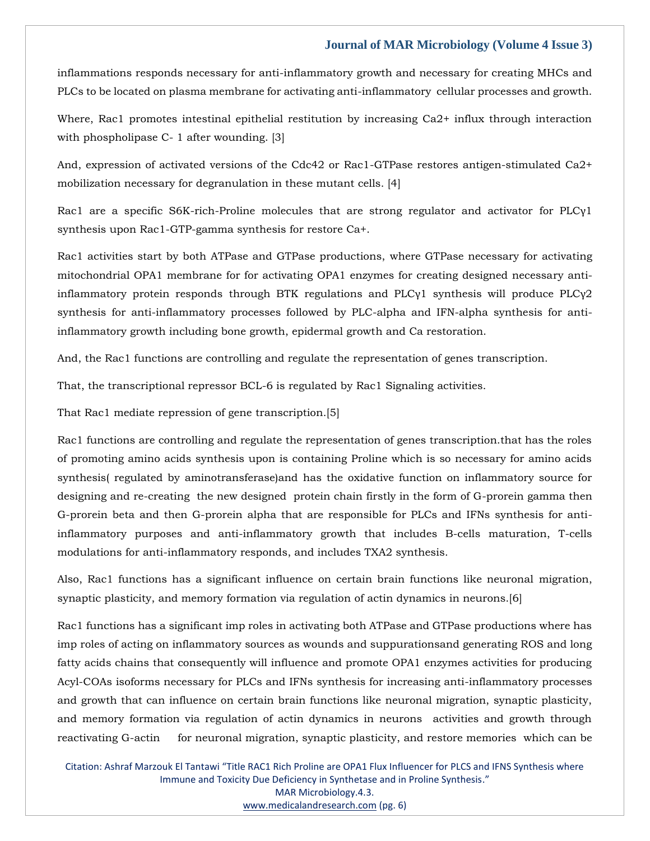inflammations responds necessary for anti-inflammatory growth and necessary for creating MHCs and PLCs to be located on plasma membrane for activating anti-inflammatory cellular processes and growth.

Where, Rac1 promotes intestinal epithelial restitution by increasing Ca2+ influx through interaction with phospholipase C- 1 after wounding. [3]

And, expression of activated versions of the Cdc42 or Rac1-GTPase restores antigen-stimulated Ca2+ mobilization necessary for degranulation in these mutant cells. [4]

Rac1 are a specific S6K-rich-Proline molecules that are strong regulator and activator for PLCγ1 synthesis upon Rac1-GTP-gamma synthesis for restore Ca+.

Rac1 activities start by both ATPase and GTPase productions, where GTPase necessary for activating mitochondrial OPA1 membrane for for activating OPA1 enzymes for creating designed necessary antiinflammatory protein responds through BTK regulations and PLCγ1 synthesis will produce PLCγ2 synthesis for anti-inflammatory processes followed by PLC-alpha and IFN-alpha synthesis for antiinflammatory growth including bone growth, epidermal growth and Ca restoration.

And, the Rac1 functions are controlling and regulate the representation of genes transcription.

That, the transcriptional repressor BCL-6 is regulated by Rac1 Signaling activities.

That Rac1 mediate repression of gene transcription.[5]

Rac1 functions are controlling and regulate the representation of genes transcription.that has the roles of promoting amino acids synthesis upon is containing Proline which is so necessary for amino acids synthesis( regulated by aminotransferase)and has the oxidative function on inflammatory source for designing and re-creating the new designed protein chain firstly in the form of G-prorein gamma then G-prorein beta and then G-prorein alpha that are responsible for PLCs and IFNs synthesis for antiinflammatory purposes and anti-inflammatory growth that includes B-cells maturation, T-cells modulations for anti-inflammatory responds, and includes TXA2 synthesis.

Also, Rac1 functions has a significant influence on certain brain functions like neuronal migration, synaptic plasticity, and memory formation via regulation of actin dynamics in neurons.[6]

Rac1 functions has a significant imp roles in activating both ATPase and GTPase productions where has imp roles of acting on inflammatory sources as wounds and suppurationsand generating ROS and long fatty acids chains that consequently will influence and promote OPA1 enzymes activities for producing Acyl-COAs isoforms necessary for PLCs and IFNs synthesis for increasing anti-inflammatory processes and growth that can influence on certain brain functions like neuronal migration, synaptic plasticity, and memory formation via regulation of actin dynamics in neurons activities and growth through reactivating G-actin for neuronal migration, synaptic plasticity, and restore memories which can be

Citation: Ashraf Marzouk El Tantawi "Title RAC1 Rich Proline are OPA1 Flux Influencer for PLCS and IFNS Synthesis where Immune and Toxicity Due Deficiency in Synthetase and in Proline Synthesis." MAR Microbiology.4.3. [www.medicalandresearch.com](http://www.medicalandresearch.com/) (pg. 6)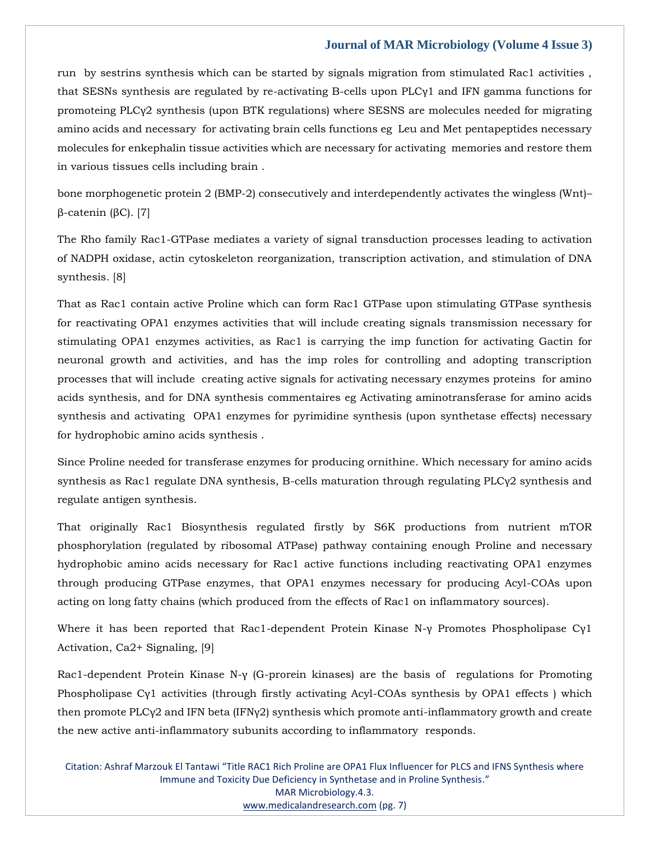run by sestrins synthesis which can be started by signals migration from stimulated Rac1 activities , that SESNs synthesis are regulated by re-activating B-cells upon PLCγ1 and IFN gamma functions for promoteing PLCγ2 synthesis (upon BTK regulations) where SESNS are molecules needed for migrating amino acids and necessary for activating brain cells functions eg Leu and Met pentapeptides necessary molecules for enkephalin tissue activities which are necessary for activating memories and restore them in various tissues cells including brain .

bone morphogenetic protein 2 (BMP-2) consecutively and interdependently activates the wingless (Wnt)– β-catenin (βC). [7]

The Rho family Rac1-GTPase mediates a variety of signal transduction processes leading to activation of NADPH oxidase, actin cytoskeleton reorganization, transcription activation, and stimulation of DNA synthesis. [8]

That as Rac1 contain active Proline which can form Rac1 GTPase upon stimulating GTPase synthesis for reactivating OPA1 enzymes activities that will include creating signals transmission necessary for stimulating OPA1 enzymes activities, as Rac1 is carrying the imp function for activating Gactin for neuronal growth and activities, and has the imp roles for controlling and adopting transcription processes that will include creating active signals for activating necessary enzymes proteins for amino acids synthesis, and for DNA synthesis commentaires eg Activating aminotransferase for amino acids synthesis and activating OPA1 enzymes for pyrimidine synthesis (upon synthetase effects) necessary for hydrophobic amino acids synthesis .

Since Proline needed for transferase enzymes for producing ornithine. Which necessary for amino acids synthesis as Rac1 regulate DNA synthesis, B-cells maturation through regulating PLCy2 synthesis and regulate antigen synthesis.

That originally Rac1 Biosynthesis regulated firstly by S6K productions from nutrient mTOR phosphorylation (regulated by ribosomal ATPase) pathway containing enough Proline and necessary hydrophobic amino acids necessary for Rac1 active functions including reactivating OPA1 enzymes through producing GTPase enzymes, that OPA1 enzymes necessary for producing Acyl-COAs upon acting on long fatty chains (which produced from the effects of Rac1 on inflammatory sources).

Where it has been reported that Rac1-dependent Protein Kinase N-γ Promotes Phospholipase Cγ1 Activation, Ca2+ Signaling, [9]

Rac1-dependent Protein Kinase N-γ (G-prorein kinases) are the basis of regulations for Promoting Phospholipase Cγ1 activities (through firstly activating Acyl-COAs synthesis by OPA1 effects ) which then promote PLCγ2 and IFN beta (IFNγ2) synthesis which promote anti-inflammatory growth and create the new active anti-inflammatory subunits according to inflammatory responds.

Citation: Ashraf Marzouk El Tantawi "Title RAC1 Rich Proline are OPA1 Flux Influencer for PLCS and IFNS Synthesis where Immune and Toxicity Due Deficiency in Synthetase and in Proline Synthesis." MAR Microbiology.4.3. [www.medicalandresearch.com](http://www.medicalandresearch.com/) (pg. 7)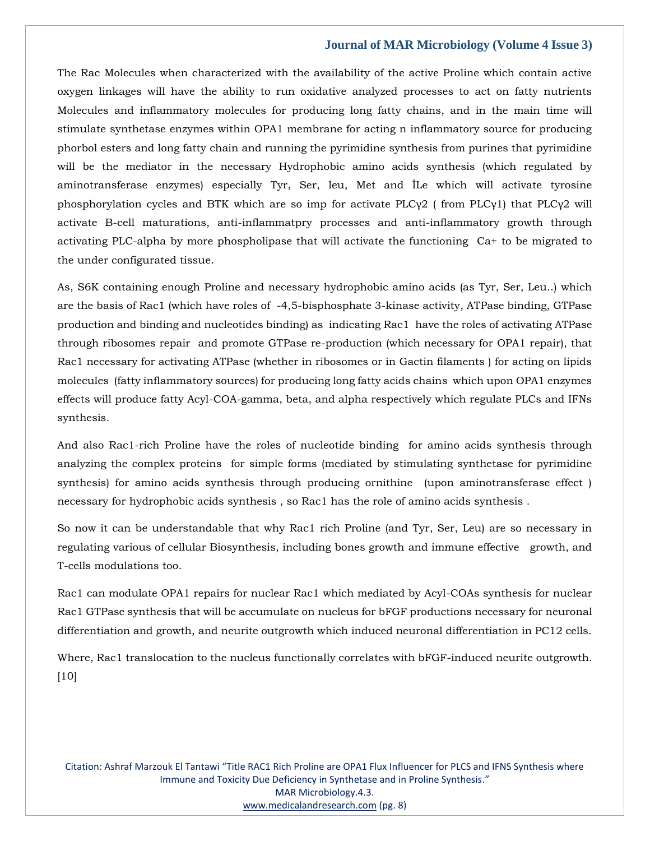The Rac Molecules when characterized with the availability of the active Proline which contain active oxygen linkages will have the ability to run oxidative analyzed processes to act on fatty nutrients Molecules and inflammatory molecules for producing long fatty chains, and in the main time will stimulate synthetase enzymes within OPA1 membrane for acting n inflammatory source for producing phorbol esters and long fatty chain and running the pyrimidine synthesis from purines that pyrimidine will be the mediator in the necessary Hydrophobic amino acids synthesis (which regulated by aminotransferase enzymes) especially Tyr, Ser, leu, Met and ÎLe which will activate tyrosine phosphorylation cycles and BTK which are so imp for activate PLCγ2 ( from PLCγ1) that PLCγ2 will activate B-cell maturations, anti-inflammatpry processes and anti-inflammatory growth through activating PLC-alpha by more phospholipase that will activate the functioning Ca+ to be migrated to the under configurated tissue.

As, S6K containing enough Proline and necessary hydrophobic amino acids (as Tyr, Ser, Leu..) which are the basis of Rac1 (which have roles of -4,5-bisphosphate 3-kinase activity, ATPase binding, GTPase production and binding and nucleotides binding) as indicating Rac1 have the roles of activating ATPase through ribosomes repair and promote GTPase re-production (which necessary for OPA1 repair), that Rac1 necessary for activating ATPase (whether in ribosomes or in Gactin filaments ) for acting on lipids molecules (fatty inflammatory sources) for producing long fatty acids chains which upon OPA1 enzymes effects will produce fatty Acyl-COA-gamma, beta, and alpha respectively which regulate PLCs and IFNs synthesis.

And also Rac1-rich Proline have the roles of nucleotide binding for amino acids synthesis through analyzing the complex proteins for simple forms (mediated by stimulating synthetase for pyrimidine synthesis) for amino acids synthesis through producing ornithine (upon aminotransferase effect ) necessary for hydrophobic acids synthesis , so Rac1 has the role of amino acids synthesis .

So now it can be understandable that why Rac1 rich Proline (and Tyr, Ser, Leu) are so necessary in regulating various of cellular Biosynthesis, including bones growth and immune effective growth, and T-cells modulations too.

Rac1 can modulate OPA1 repairs for nuclear Rac1 which mediated by Acyl-COAs synthesis for nuclear Rac1 GTPase synthesis that will be accumulate on nucleus for bFGF productions necessary for neuronal differentiation and growth, and neurite outgrowth which induced neuronal differentiation in PC12 cells.

Where, Rac1 translocation to the nucleus functionally correlates with bFGF-induced neurite outgrowth.  $[10]$ 

Citation: Ashraf Marzouk El Tantawi "Title RAC1 Rich Proline are OPA1 Flux Influencer for PLCS and IFNS Synthesis where Immune and Toxicity Due Deficiency in Synthetase and in Proline Synthesis." MAR Microbiology.4.3. [www.medicalandresearch.com](http://www.medicalandresearch.com/) (pg. 8)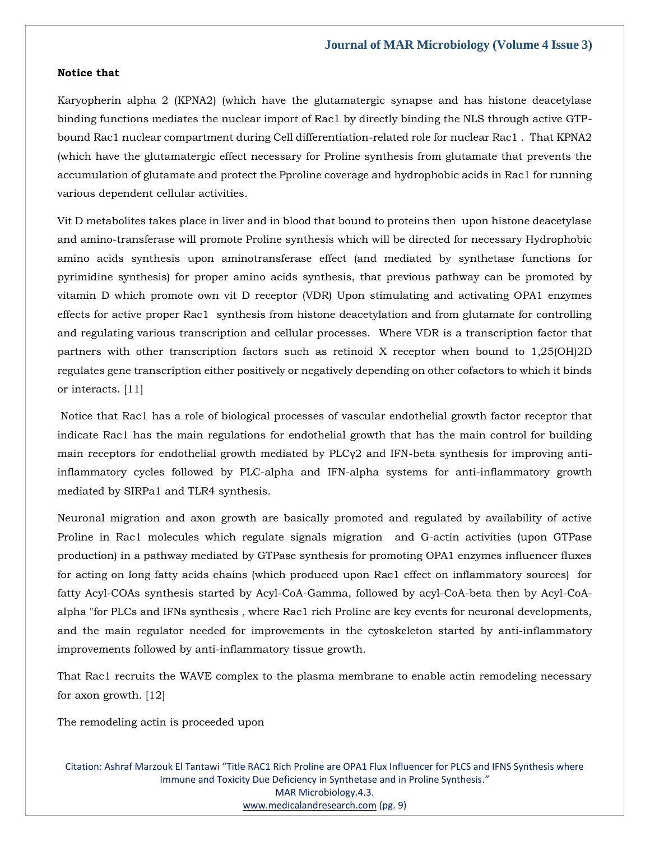#### **Notice that**

Karyopherin alpha 2 (KPNA2) (which have the glutamatergic synapse and has histone deacetylase binding functions mediates the nuclear import of Rac1 by directly binding the NLS through active GTPbound Rac1 nuclear compartment during Cell differentiation-related role for nuclear Rac1 . That KPNA2 (which have the glutamatergic effect necessary for Proline synthesis from glutamate that prevents the accumulation of glutamate and protect the Pproline coverage and hydrophobic acids in Rac1 for running various dependent cellular activities.

Vit D metabolites takes place in liver and in blood that bound to proteins then upon histone deacetylase and amino-transferase will promote Proline synthesis which will be directed for necessary Hydrophobic amino acids synthesis upon aminotransferase effect (and mediated by synthetase functions for pyrimidine synthesis) for proper amino acids synthesis, that previous pathway can be promoted by vitamin D which promote own vit D receptor (VDR) Upon stimulating and activating OPA1 enzymes effects for active proper Rac1 synthesis from histone deacetylation and from glutamate for controlling and regulating various transcription and cellular processes. Where VDR is a transcription factor that partners with other transcription factors such as retinoid X receptor when bound to 1,25(OH)2D regulates gene transcription either positively or negatively depending on other cofactors to which it binds or interacts. [11]

Notice that Rac1 has a role of biological processes of vascular endothelial growth factor receptor that indicate Rac1 has the main regulations for endothelial growth that has the main control for building main receptors for endothelial growth mediated by PLCγ2 and IFN-beta synthesis for improving antiinflammatory cycles followed by PLC-alpha and IFN-alpha systems for anti-inflammatory growth mediated by SIRPa1 and TLR4 synthesis.

Neuronal migration and axon growth are basically promoted and regulated by availability of active Proline in Rac1 molecules which regulate signals migration and G-actin activities (upon GTPase production) in a pathway mediated by GTPase synthesis for promoting OPA1 enzymes influencer fluxes for acting on long fatty acids chains (which produced upon Rac1 effect on inflammatory sources) for fatty Acyl-COAs synthesis started by Acyl-CoA-Gamma, followed by acyl-CoA-beta then by Acyl-CoAalpha "for PLCs and IFNs synthesis , where Rac1 rich Proline are key events for neuronal developments, and the main regulator needed for improvements in the cytoskeleton started by anti-inflammatory improvements followed by anti-inflammatory tissue growth.

That Rac1 recruits the WAVE complex to the plasma membrane to enable actin remodeling necessary for axon growth. [12]

The remodeling actin is proceeded upon

Citation: Ashraf Marzouk El Tantawi "Title RAC1 Rich Proline are OPA1 Flux Influencer for PLCS and IFNS Synthesis where Immune and Toxicity Due Deficiency in Synthetase and in Proline Synthesis." MAR Microbiology.4.3. [www.medicalandresearch.com](http://www.medicalandresearch.com/) (pg. 9)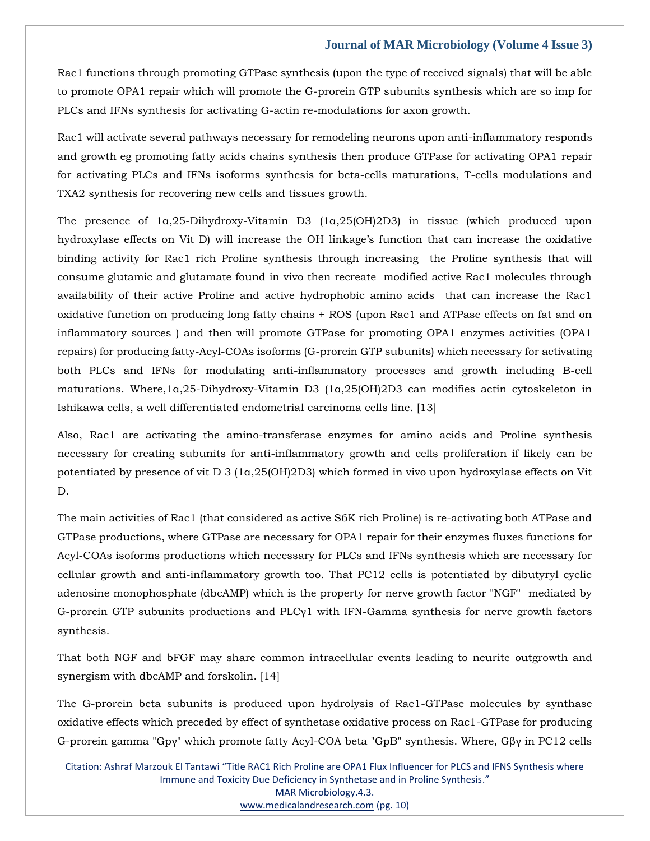Rac1 functions through promoting GTPase synthesis (upon the type of received signals) that will be able to promote OPA1 repair which will promote the G-prorein GTP subunits synthesis which are so imp for PLCs and IFNs synthesis for activating G-actin re-modulations for axon growth.

Rac1 will activate several pathways necessary for remodeling neurons upon anti-inflammatory responds and growth eg promoting fatty acids chains synthesis then produce GTPase for activating OPA1 repair for activating PLCs and IFNs isoforms synthesis for beta-cells maturations, T-cells modulations and TXA2 synthesis for recovering new cells and tissues growth.

The presence of 1α,25-Dihydroxy-Vitamin D3 (1α,25(OH)2D3) in tissue (which produced upon hydroxylase effects on Vit D) will increase the OH linkage's function that can increase the oxidative binding activity for Rac1 rich Proline synthesis through increasing the Proline synthesis that will consume glutamic and glutamate found in vivo then recreate modified active Rac1 molecules through availability of their active Proline and active hydrophobic amino acids that can increase the Rac1 oxidative function on producing long fatty chains + ROS (upon Rac1 and ATPase effects on fat and on inflammatory sources ) and then will promote GTPase for promoting OPA1 enzymes activities (OPA1 repairs) for producing fatty-Acyl-COAs isoforms (G-prorein GTP subunits) which necessary for activating both PLCs and IFNs for modulating anti-inflammatory processes and growth including B-cell maturations. Where,1α,25-Dihydroxy-Vitamin D3 (1α,25(OH)2D3 can modifies actin cytoskeleton in Ishikawa cells, a well differentiated endometrial carcinoma cells line. [13]

Also, Rac1 are activating the amino-transferase enzymes for amino acids and Proline synthesis necessary for creating subunits for anti-inflammatory growth and cells proliferation if likely can be potentiated by presence of vit D 3 (1α,25(OH)2D3) which formed in vivo upon hydroxylase effects on Vit D.

The main activities of Rac1 (that considered as active S6K rich Proline) is re-activating both ATPase and GTPase productions, where GTPase are necessary for OPA1 repair for their enzymes fluxes functions for Acyl-COAs isoforms productions which necessary for PLCs and IFNs synthesis which are necessary for cellular growth and anti-inflammatory growth too. That PC12 cells is potentiated by dibutyryl cyclic adenosine monophosphate (dbcAMP) which is the property for nerve growth factor "NGF" mediated by G-prorein GTP subunits productions and PLCγ1 with IFN-Gamma synthesis for nerve growth factors synthesis.

That both NGF and bFGF may share common intracellular events leading to neurite outgrowth and synergism with dbcAMP and forskolin. [14]

The G-prorein beta subunits is produced upon hydrolysis of Rac1-GTPase molecules by synthase oxidative effects which preceded by effect of synthetase oxidative process on Rac1-GTPase for producing G-prorein gamma "Gpγ" which promote fatty Acyl-COA beta "GpB" synthesis. Where, Gβγ in PC12 cells

Citation: Ashraf Marzouk El Tantawi "Title RAC1 Rich Proline are OPA1 Flux Influencer for PLCS and IFNS Synthesis where Immune and Toxicity Due Deficiency in Synthetase and in Proline Synthesis." MAR Microbiology.4.3. [www.medicalandresearch.com](http://www.medicalandresearch.com/) (pg. 10)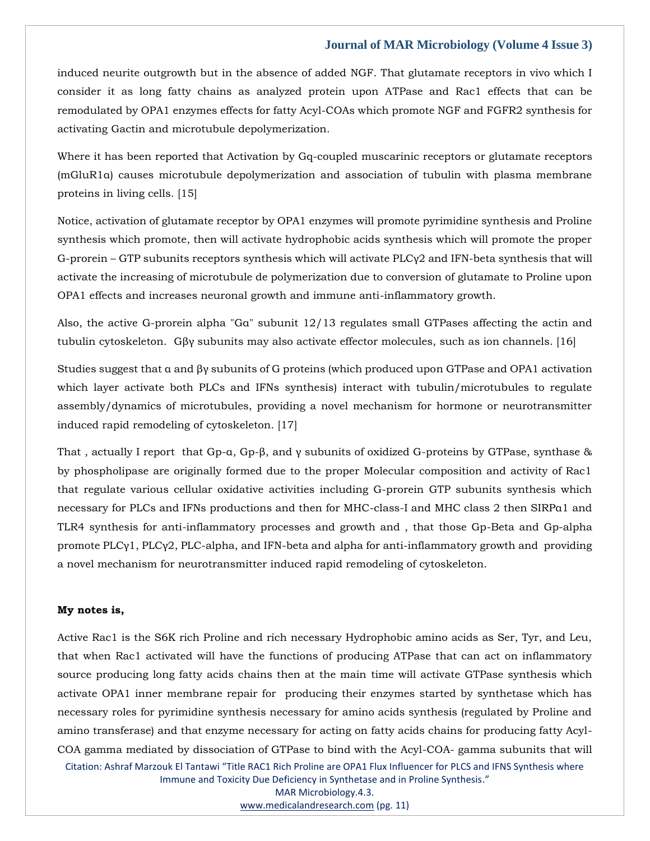induced neurite outgrowth but in the absence of added NGF. That glutamate receptors in vivo which I consider it as long fatty chains as analyzed protein upon ATPase and Rac1 effects that can be remodulated by OPA1 enzymes effects for fatty Acyl-COAs which promote NGF and FGFR2 synthesis for activating Gactin and microtubule depolymerization.

Where it has been reported that Activation by Gq-coupled muscarinic receptors or glutamate receptors (mGluR1α) causes microtubule depolymerization and association of tubulin with plasma membrane proteins in living cells. [15]

Notice, activation of glutamate receptor by OPA1 enzymes will promote pyrimidine synthesis and Proline synthesis which promote, then will activate hydrophobic acids synthesis which will promote the proper G-prorein – GTP subunits receptors synthesis which will activate PLCγ2 and IFN-beta synthesis that will activate the increasing of microtubule de polymerization due to conversion of glutamate to Proline upon OPA1 effects and increases neuronal growth and immune anti-inflammatory growth.

Also, the active G-prorein alpha "Gα" subunit 12/13 regulates small GTPases affecting the actin and tubulin cytoskeleton. Gβγ subunits may also activate effector molecules, such as ion channels. [16]

Studies suggest that α and βγ subunits of G proteins (which produced upon GTPase and OPA1 activation which layer activate both PLCs and IFNs synthesis) interact with tubulin/microtubules to regulate assembly/dynamics of microtubules, providing a novel mechanism for hormone or neurotransmitter induced rapid remodeling of cytoskeleton. [17]

That , actually I report that Gp-α, Gp-β, and γ subunits of oxidized G-proteins by GTPase, synthase & by phospholipase are originally formed due to the proper Molecular composition and activity of Rac1 that regulate various cellular oxidative activities including G-prorein GTP subunits synthesis which necessary for PLCs and IFNs productions and then for MHC-class-I and MHC class 2 then SIRPα1 and TLR4 synthesis for anti-inflammatory processes and growth and , that those Gp-Beta and Gp-alpha promote PLCγ1, PLCγ2, PLC-alpha, and IFN-beta and alpha for anti-inflammatory growth and providing a novel mechanism for neurotransmitter induced rapid remodeling of cytoskeleton.

#### **My notes is,**

Active Rac1 is the S6K rich Proline and rich necessary Hydrophobic amino acids as Ser, Tyr, and Leu, that when Rac1 activated will have the functions of producing ATPase that can act on inflammatory source producing long fatty acids chains then at the main time will activate GTPase synthesis which activate OPA1 inner membrane repair for producing their enzymes started by synthetase which has necessary roles for pyrimidine synthesis necessary for amino acids synthesis (regulated by Proline and amino transferase) and that enzyme necessary for acting on fatty acids chains for producing fatty Acyl-COA gamma mediated by dissociation of GTPase to bind with the Acyl-COA- gamma subunits that will

Citation: Ashraf Marzouk El Tantawi "Title RAC1 Rich Proline are OPA1 Flux Influencer for PLCS and IFNS Synthesis where Immune and Toxicity Due Deficiency in Synthetase and in Proline Synthesis."

> MAR Microbiology.4.3. [www.medicalandresearch.com](http://www.medicalandresearch.com/) (pg. 11)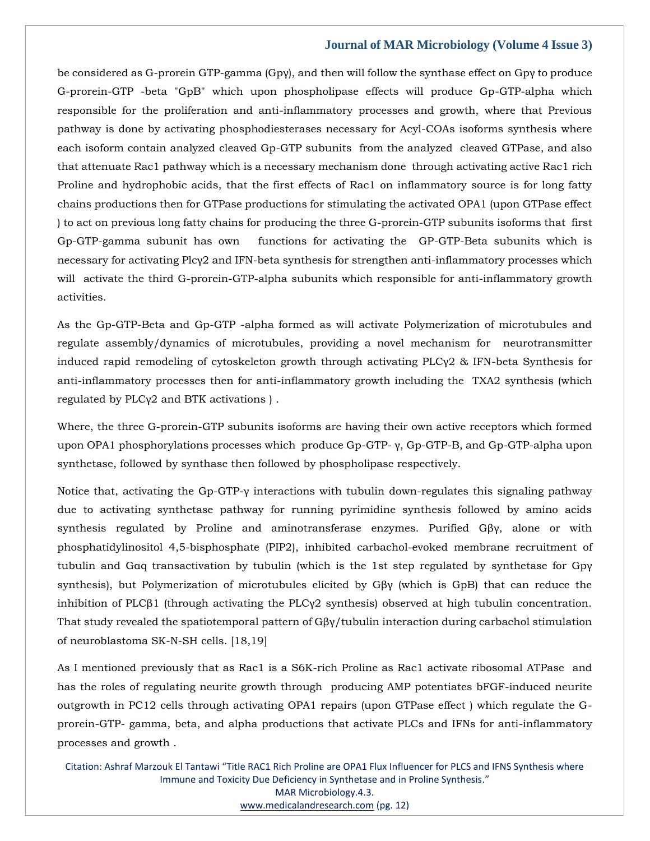be considered as G-prorein GTP-gamma (Gpγ), and then will follow the synthase effect on Gpγ to produce G-prorein-GTP -beta "GpB" which upon phospholipase effects will produce Gp-GTP-alpha which responsible for the proliferation and anti-inflammatory processes and growth, where that Previous pathway is done by activating phosphodiesterases necessary for Acyl-COAs isoforms synthesis where each isoform contain analyzed cleaved Gp-GTP subunits from the analyzed cleaved GTPase, and also that attenuate Rac1 pathway which is a necessary mechanism done through activating active Rac1 rich Proline and hydrophobic acids, that the first effects of Rac1 on inflammatory source is for long fatty chains productions then for GTPase productions for stimulating the activated OPA1 (upon GTPase effect ) to act on previous long fatty chains for producing the three G-prorein-GTP subunits isoforms that first Gp-GTP-gamma subunit has own functions for activating the GP-GTP-Beta subunits which is necessary for activating Plcγ2 and IFN-beta synthesis for strengthen anti-inflammatory processes which will activate the third G-prorein-GTP-alpha subunits which responsible for anti-inflammatory growth activities.

As the Gp-GTP-Beta and Gp-GTP -alpha formed as will activate Polymerization of microtubules and regulate assembly/dynamics of microtubules, providing a novel mechanism for neurotransmitter induced rapid remodeling of cytoskeleton growth through activating PLCγ2 & IFN-beta Synthesis for anti-inflammatory processes then for anti-inflammatory growth including the TXA2 synthesis (which regulated by PLCγ2 and BTK activations ) .

Where, the three G-prorein-GTP subunits isoforms are having their own active receptors which formed upon OPA1 phosphorylations processes which produce Gp-GTP- γ, Gp-GTP-B, and Gp-GTP-alpha upon synthetase, followed by synthase then followed by phospholipase respectively.

Notice that, activating the Gp-GTP-γ interactions with tubulin down-regulates this signaling pathway due to activating synthetase pathway for running pyrimidine synthesis followed by amino acids synthesis regulated by Proline and aminotransferase enzymes. Purified Gβγ, alone or with phosphatidylinositol 4,5-bisphosphate (PIP2), inhibited carbachol-evoked membrane recruitment of tubulin and Gαq transactivation by tubulin (which is the 1st step regulated by synthetase for Gpγ synthesis), but Polymerization of microtubules elicited by Gβγ (which is GpB) that can reduce the inhibition of PLCβ1 (through activating the PLCγ2 synthesis) observed at high tubulin concentration. That study revealed the spatiotemporal pattern of Gβγ/tubulin interaction during carbachol stimulation of neuroblastoma SK-N-SH cells. [18,19]

As I mentioned previously that as Rac1 is a S6K-rich Proline as Rac1 activate ribosomal ATPase and has the roles of regulating neurite growth through producing AMP potentiates bFGF-induced neurite outgrowth in PC12 cells through activating OPA1 repairs (upon GTPase effect ) which regulate the Gprorein-GTP- gamma, beta, and alpha productions that activate PLCs and IFNs for anti-inflammatory processes and growth .

Citation: Ashraf Marzouk El Tantawi "Title RAC1 Rich Proline are OPA1 Flux Influencer for PLCS and IFNS Synthesis where Immune and Toxicity Due Deficiency in Synthetase and in Proline Synthesis." MAR Microbiology.4.3. [www.medicalandresearch.com](http://www.medicalandresearch.com/) (pg. 12)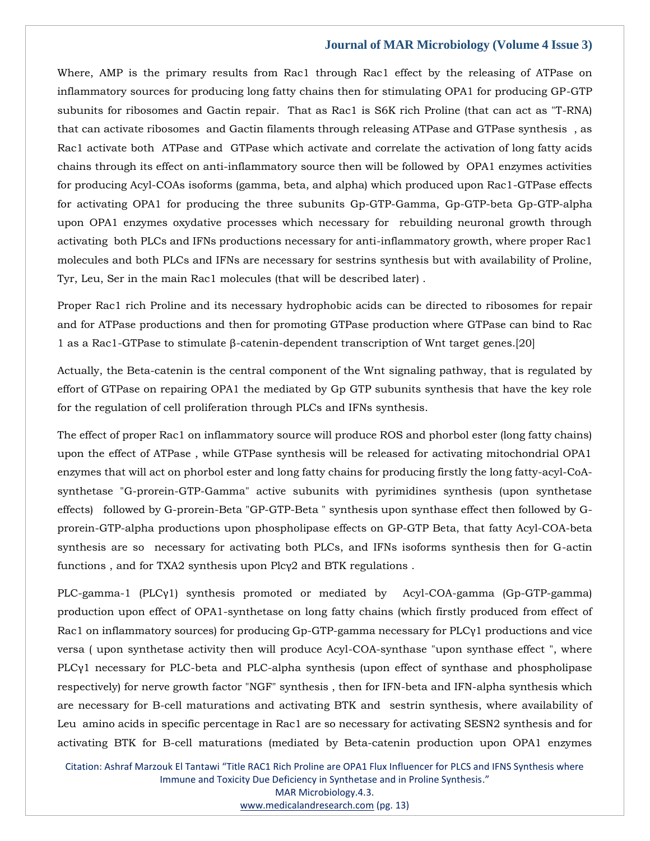Where, AMP is the primary results from Rac1 through Rac1 effect by the releasing of ATPase on inflammatory sources for producing long fatty chains then for stimulating OPA1 for producing GP-GTP subunits for ribosomes and Gactin repair. That as Rac1 is S6K rich Proline (that can act as "T-RNA) that can activate ribosomes and Gactin filaments through releasing ATPase and GTPase synthesis , as Rac1 activate both ATPase and GTPase which activate and correlate the activation of long fatty acids chains through its effect on anti-inflammatory source then will be followed by OPA1 enzymes activities for producing Acyl-COAs isoforms (gamma, beta, and alpha) which produced upon Rac1-GTPase effects for activating OPA1 for producing the three subunits Gp-GTP-Gamma, Gp-GTP-beta Gp-GTP-alpha upon OPA1 enzymes oxydative processes which necessary for rebuilding neuronal growth through activating both PLCs and IFNs productions necessary for anti-inflammatory growth, where proper Rac1 molecules and both PLCs and IFNs are necessary for sestrins synthesis but with availability of Proline, Tyr, Leu, Ser in the main Rac1 molecules (that will be described later) .

Proper Rac1 rich Proline and its necessary hydrophobic acids can be directed to ribosomes for repair and for ATPase productions and then for promoting GTPase production where GTPase can bind to Rac 1 as a Rac1-GTPase to stimulate β-catenin-dependent transcription of Wnt target genes.[20]

Actually, the Beta-catenin is the central component of the Wnt signaling pathway, that is regulated by effort of GTPase on repairing OPA1 the mediated by Gp GTP subunits synthesis that have the key role for the regulation of cell proliferation through PLCs and IFNs synthesis.

The effect of proper Rac1 on inflammatory source will produce ROS and phorbol ester (long fatty chains) upon the effect of ATPase , while GTPase synthesis will be released for activating mitochondrial OPA1 enzymes that will act on phorbol ester and long fatty chains for producing firstly the long fatty-acyl-CoAsynthetase "G-prorein-GTP-Gamma" active subunits with pyrimidines synthesis (upon synthetase effects) followed by G-prorein-Beta "GP-GTP-Beta " synthesis upon synthase effect then followed by Gprorein-GTP-alpha productions upon phospholipase effects on GP-GTP Beta, that fatty Acyl-COA-beta synthesis are so necessary for activating both PLCs, and IFNs isoforms synthesis then for G-actin functions , and for TXA2 synthesis upon Plcγ2 and BTK regulations .

PLC-gamma-1 (PLCγ1) synthesis promoted or mediated by Acyl-COA-gamma (Gp-GTP-gamma) production upon effect of OPA1-synthetase on long fatty chains (which firstly produced from effect of Rac1 on inflammatory sources) for producing Gp-GTP-gamma necessary for PLCγ1 productions and vice versa ( upon synthetase activity then will produce Acyl-COA-synthase "upon synthase effect ", where PLCγ1 necessary for PLC-beta and PLC-alpha synthesis (upon effect of synthase and phospholipase respectively) for nerve growth factor "NGF" synthesis , then for IFN-beta and IFN-alpha synthesis which are necessary for B-cell maturations and activating BTK and sestrin synthesis, where availability of Leu amino acids in specific percentage in Rac1 are so necessary for activating SESN2 synthesis and for activating BTK for B-cell maturations (mediated by Beta-catenin production upon OPA1 enzymes

Citation: Ashraf Marzouk El Tantawi "Title RAC1 Rich Proline are OPA1 Flux Influencer for PLCS and IFNS Synthesis where Immune and Toxicity Due Deficiency in Synthetase and in Proline Synthesis." MAR Microbiology.4.3. [www.medicalandresearch.com](http://www.medicalandresearch.com/) (pg. 13)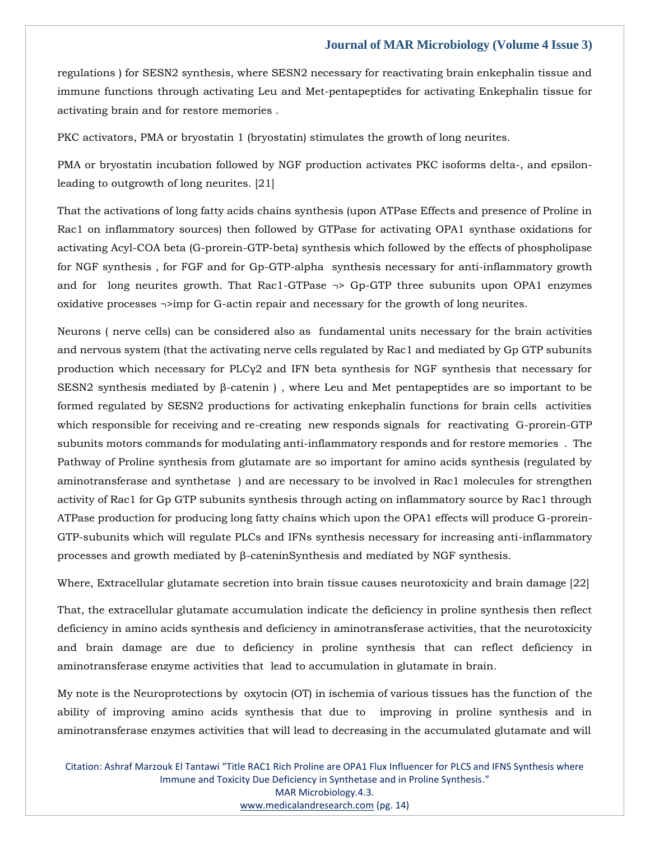regulations ) for SESN2 synthesis, where SESN2 necessary for reactivating brain enkephalin tissue and immune functions through activating Leu and Met-pentapeptides for activating Enkephalin tissue for activating brain and for restore memories .

PKC activators, PMA or bryostatin 1 (bryostatin) stimulates the growth of long neurites.

PMA or bryostatin incubation followed by NGF production activates PKC isoforms delta-, and epsilonleading to outgrowth of long neurites. [21]

That the activations of long fatty acids chains synthesis (upon ATPase Effects and presence of Proline in Rac1 on inflammatory sources) then followed by GTPase for activating OPA1 synthase oxidations for activating Acyl-COA beta (G-prorein-GTP-beta) synthesis which followed by the effects of phospholipase for NGF synthesis , for FGF and for Gp-GTP-alpha synthesis necessary for anti-inflammatory growth and for long neurites growth. That Rac1-GTPase  $\rightarrow$  Gp-GTP three subunits upon OPA1 enzymes oxidative processes  $\neg$ imp for G-actin repair and necessary for the growth of long neurites.

Neurons ( nerve cells) can be considered also as fundamental units necessary for the brain activities and nervous system (that the activating nerve cells regulated by Rac1 and mediated by Gp GTP subunits production which necessary for PLCγ2 and IFN beta synthesis for NGF synthesis that necessary for SESN2 synthesis mediated by β-catenin ) , where Leu and Met pentapeptides are so important to be formed regulated by SESN2 productions for activating enkephalin functions for brain cells activities which responsible for receiving and re-creating new responds signals for reactivating G-prorein-GTP subunits motors commands for modulating anti-inflammatory responds and for restore memories . The Pathway of Proline synthesis from glutamate are so important for amino acids synthesis (regulated by aminotransferase and synthetase ) and are necessary to be involved in Rac1 molecules for strengthen activity of Rac1 for Gp GTP subunits synthesis through acting on inflammatory source by Rac1 through ATPase production for producing long fatty chains which upon the OPA1 effects will produce G-prorein-GTP-subunits which will regulate PLCs and IFNs synthesis necessary for increasing anti-inflammatory processes and growth mediated by β-cateninSynthesis and mediated by NGF synthesis.

Where, Extracellular glutamate secretion into brain tissue causes neurotoxicity and brain damage [22]

That, the extracellular glutamate accumulation indicate the deficiency in proline synthesis then reflect deficiency in amino acids synthesis and deficiency in aminotransferase activities, that the neurotoxicity and brain damage are due to deficiency in proline synthesis that can reflect deficiency in aminotransferase enzyme activities that lead to accumulation in glutamate in brain.

My note is the Neuroprotections by oxytocin (OT) in ischemia of various tissues has the function of the ability of improving amino acids synthesis that due to improving in proline synthesis and in aminotransferase enzymes activities that will lead to decreasing in the accumulated glutamate and will

Citation: Ashraf Marzouk El Tantawi "Title RAC1 Rich Proline are OPA1 Flux Influencer for PLCS and IFNS Synthesis where Immune and Toxicity Due Deficiency in Synthetase and in Proline Synthesis." MAR Microbiology.4.3. [www.medicalandresearch.com](http://www.medicalandresearch.com/) (pg. 14)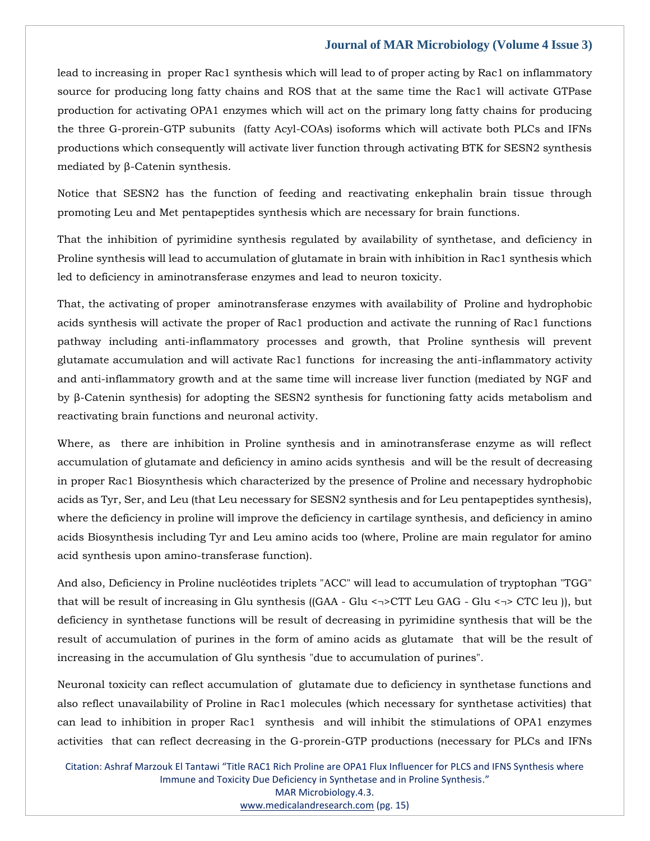lead to increasing in proper Rac1 synthesis which will lead to of proper acting by Rac1 on inflammatory source for producing long fatty chains and ROS that at the same time the Rac1 will activate GTPase production for activating OPA1 enzymes which will act on the primary long fatty chains for producing the three G-prorein-GTP subunits (fatty Acyl-COAs) isoforms which will activate both PLCs and IFNs productions which consequently will activate liver function through activating BTK for SESN2 synthesis mediated by β-Catenin synthesis.

Notice that SESN2 has the function of feeding and reactivating enkephalin brain tissue through promoting Leu and Met pentapeptides synthesis which are necessary for brain functions.

That the inhibition of pyrimidine synthesis regulated by availability of synthetase, and deficiency in Proline synthesis will lead to accumulation of glutamate in brain with inhibition in Rac1 synthesis which led to deficiency in aminotransferase enzymes and lead to neuron toxicity.

That, the activating of proper aminotransferase enzymes with availability of Proline and hydrophobic acids synthesis will activate the proper of Rac1 production and activate the running of Rac1 functions pathway including anti-inflammatory processes and growth, that Proline synthesis will prevent glutamate accumulation and will activate Rac1 functions for increasing the anti-inflammatory activity and anti-inflammatory growth and at the same time will increase liver function (mediated by NGF and by β-Catenin synthesis) for adopting the SESN2 synthesis for functioning fatty acids metabolism and reactivating brain functions and neuronal activity.

Where, as there are inhibition in Proline synthesis and in aminotransferase enzyme as will reflect accumulation of glutamate and deficiency in amino acids synthesis and will be the result of decreasing in proper Rac1 Biosynthesis which characterized by the presence of Proline and necessary hydrophobic acids as Tyr, Ser, and Leu (that Leu necessary for SESN2 synthesis and for Leu pentapeptides synthesis), where the deficiency in proline will improve the deficiency in cartilage synthesis, and deficiency in amino acids Biosynthesis including Tyr and Leu amino acids too (where, Proline are main regulator for amino acid synthesis upon amino-transferase function).

And also, Deficiency in Proline nucléotides triplets "ACC" will lead to accumulation of tryptophan "TGG" that will be result of increasing in Glu synthesis ((GAA - Glu <¬>CTT Leu GAG - Glu <¬> CTC leu )), but deficiency in synthetase functions will be result of decreasing in pyrimidine synthesis that will be the result of accumulation of purines in the form of amino acids as glutamate that will be the result of increasing in the accumulation of Glu synthesis "due to accumulation of purines".

Neuronal toxicity can reflect accumulation of glutamate due to deficiency in synthetase functions and also reflect unavailability of Proline in Rac1 molecules (which necessary for synthetase activities) that can lead to inhibition in proper Rac1 synthesis and will inhibit the stimulations of OPA1 enzymes activities that can reflect decreasing in the G-prorein-GTP productions (necessary for PLCs and IFNs

Citation: Ashraf Marzouk El Tantawi "Title RAC1 Rich Proline are OPA1 Flux Influencer for PLCS and IFNS Synthesis where Immune and Toxicity Due Deficiency in Synthetase and in Proline Synthesis." MAR Microbiology.4.3. [www.medicalandresearch.com](http://www.medicalandresearch.com/) (pg. 15)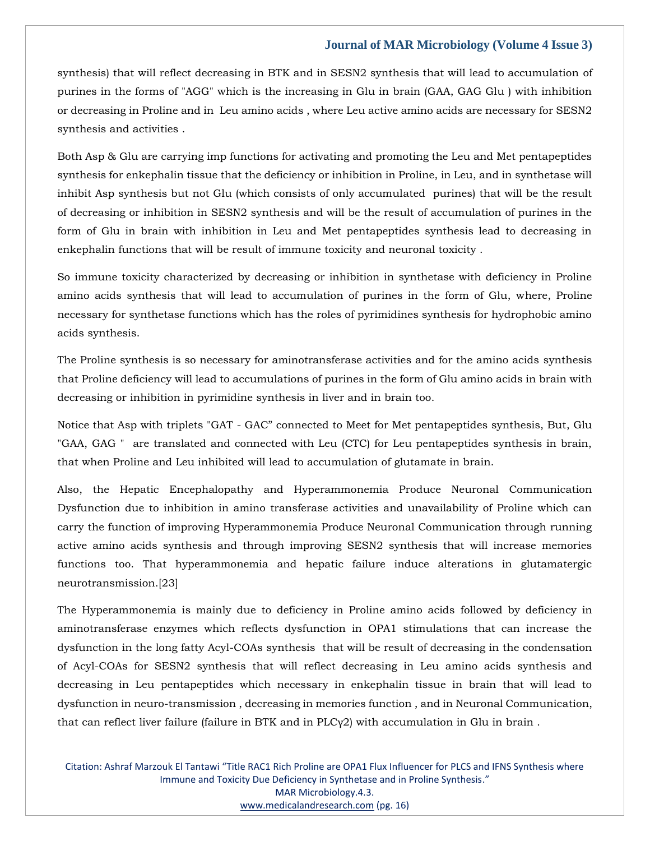synthesis) that will reflect decreasing in BTK and in SESN2 synthesis that will lead to accumulation of purines in the forms of "AGG" which is the increasing in Glu in brain (GAA, GAG Glu ) with inhibition or decreasing in Proline and in Leu amino acids , where Leu active amino acids are necessary for SESN2 synthesis and activities .

Both Asp & Glu are carrying imp functions for activating and promoting the Leu and Met pentapeptides synthesis for enkephalin tissue that the deficiency or inhibition in Proline, in Leu, and in synthetase will inhibit Asp synthesis but not Glu (which consists of only accumulated purines) that will be the result of decreasing or inhibition in SESN2 synthesis and will be the result of accumulation of purines in the form of Glu in brain with inhibition in Leu and Met pentapeptides synthesis lead to decreasing in enkephalin functions that will be result of immune toxicity and neuronal toxicity .

So immune toxicity characterized by decreasing or inhibition in synthetase with deficiency in Proline amino acids synthesis that will lead to accumulation of purines in the form of Glu, where, Proline necessary for synthetase functions which has the roles of pyrimidines synthesis for hydrophobic amino acids synthesis.

The Proline synthesis is so necessary for aminotransferase activities and for the amino acids synthesis that Proline deficiency will lead to accumulations of purines in the form of Glu amino acids in brain with decreasing or inhibition in pyrimidine synthesis in liver and in brain too.

Notice that Asp with triplets "GAT - GAC" connected to Meet for Met pentapeptides synthesis, But, Glu "GAA, GAG " are translated and connected with Leu (CTC) for Leu pentapeptides synthesis in brain, that when Proline and Leu inhibited will lead to accumulation of glutamate in brain.

Also, the Hepatic Encephalopathy and Hyperammonemia Produce Neuronal Communication Dysfunction due to inhibition in amino transferase activities and unavailability of Proline which can carry the function of improving Hyperammonemia Produce Neuronal Communication through running active amino acids synthesis and through improving SESN2 synthesis that will increase memories functions too. That hyperammonemia and hepatic failure induce alterations in glutamatergic neurotransmission.[23]

The Hyperammonemia is mainly due to deficiency in Proline amino acids followed by deficiency in aminotransferase enzymes which reflects dysfunction in OPA1 stimulations that can increase the dysfunction in the long fatty Acyl-COAs synthesis that will be result of decreasing in the condensation of Acyl-COAs for SESN2 synthesis that will reflect decreasing in Leu amino acids synthesis and decreasing in Leu pentapeptides which necessary in enkephalin tissue in brain that will lead to dysfunction in neuro-transmission , decreasing in memories function , and in Neuronal Communication, that can reflect liver failure (failure in BTK and in  $PLCy2$ ) with accumulation in Glu in brain.

Citation: Ashraf Marzouk El Tantawi "Title RAC1 Rich Proline are OPA1 Flux Influencer for PLCS and IFNS Synthesis where Immune and Toxicity Due Deficiency in Synthetase and in Proline Synthesis." MAR Microbiology.4.3. [www.medicalandresearch.com](http://www.medicalandresearch.com/) (pg. 16)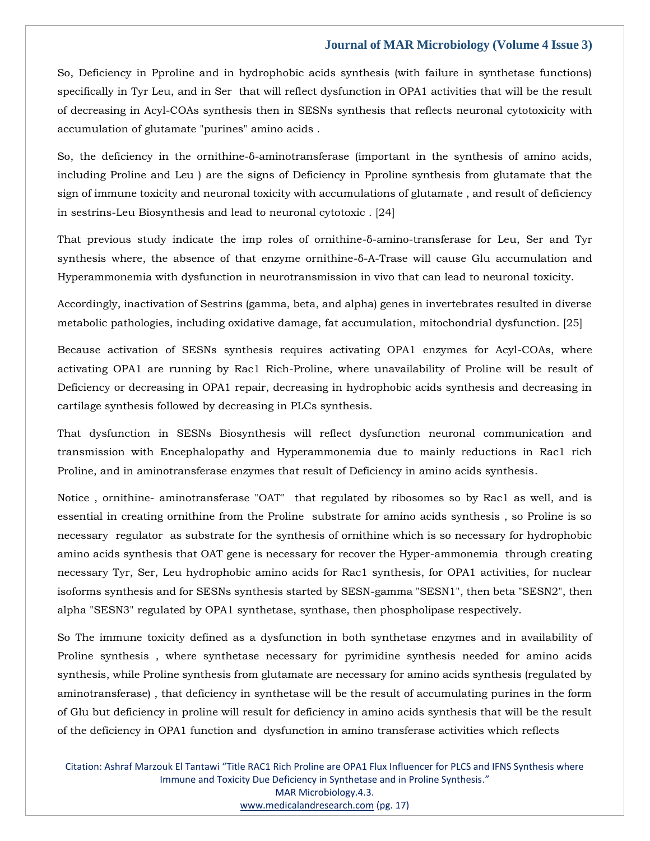So, Deficiency in Pproline and in hydrophobic acids synthesis (with failure in synthetase functions) specifically in Tyr Leu, and in Ser that will reflect dysfunction in OPA1 activities that will be the result of decreasing in Acyl-COAs synthesis then in SESNs synthesis that reflects neuronal cytotoxicity with accumulation of glutamate "purines" amino acids .

So, the deficiency in the ornithine-δ-aminotransferase (important in the synthesis of amino acids, including Proline and Leu ) are the signs of Deficiency in Pproline synthesis from glutamate that the sign of immune toxicity and neuronal toxicity with accumulations of glutamate , and result of deficiency in sestrins-Leu Biosynthesis and lead to neuronal cytotoxic . [24]

That previous study indicate the imp roles of ornithine-δ-amino-transferase for Leu, Ser and Tyr synthesis where, the absence of that enzyme ornithine-δ-A-Trase will cause Glu accumulation and Hyperammonemia with dysfunction in neurotransmission in vivo that can lead to neuronal toxicity.

Accordingly, inactivation of Sestrins (gamma, beta, and alpha) genes in invertebrates resulted in diverse metabolic pathologies, including oxidative damage, fat accumulation, mitochondrial dysfunction. [25]

Because activation of SESNs synthesis requires activating OPA1 enzymes for Acyl-COAs, where activating OPA1 are running by Rac1 Rich-Proline, where unavailability of Proline will be result of Deficiency or decreasing in OPA1 repair, decreasing in hydrophobic acids synthesis and decreasing in cartilage synthesis followed by decreasing in PLCs synthesis.

That dysfunction in SESNs Biosynthesis will reflect dysfunction neuronal communication and transmission with Encephalopathy and Hyperammonemia due to mainly reductions in Rac1 rich Proline, and in aminotransferase enzymes that result of Deficiency in amino acids synthesis.

Notice , ornithine- aminotransferase "OAT" that regulated by ribosomes so by Rac1 as well, and is essential in creating ornithine from the Proline substrate for amino acids synthesis , so Proline is so necessary regulator as substrate for the synthesis of ornithine which is so necessary for hydrophobic amino acids synthesis that OAT gene is necessary for recover the Hyper-ammonemia through creating necessary Tyr, Ser, Leu hydrophobic amino acids for Rac1 synthesis, for OPA1 activities, for nuclear isoforms synthesis and for SESNs synthesis started by SESN-gamma "SESN1", then beta "SESN2", then alpha "SESN3" regulated by OPA1 synthetase, synthase, then phospholipase respectively.

So The immune toxicity defined as a dysfunction in both synthetase enzymes and in availability of Proline synthesis , where synthetase necessary for pyrimidine synthesis needed for amino acids synthesis, while Proline synthesis from glutamate are necessary for amino acids synthesis (regulated by aminotransferase) , that deficiency in synthetase will be the result of accumulating purines in the form of Glu but deficiency in proline will result for deficiency in amino acids synthesis that will be the result of the deficiency in OPA1 function and dysfunction in amino transferase activities which reflects

Citation: Ashraf Marzouk El Tantawi "Title RAC1 Rich Proline are OPA1 Flux Influencer for PLCS and IFNS Synthesis where Immune and Toxicity Due Deficiency in Synthetase and in Proline Synthesis." MAR Microbiology.4.3. [www.medicalandresearch.com](http://www.medicalandresearch.com/) (pg. 17)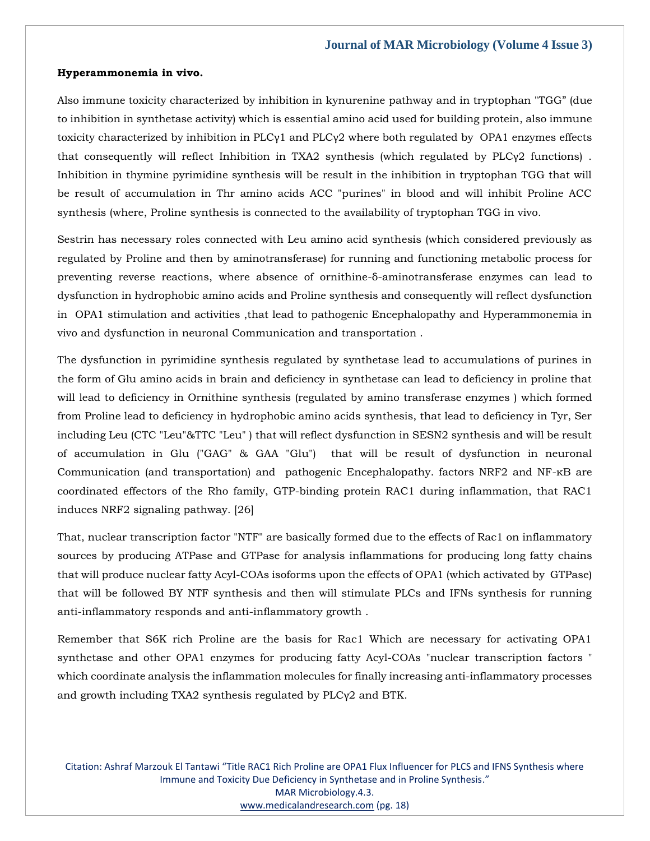#### **Hyperammonemia in vivo.**

Also immune toxicity characterized by inhibition in kynurenine pathway and in tryptophan "TGG" (due to inhibition in synthetase activity) which is essential amino acid used for building protein, also immune toxicity characterized by inhibition in PLCγ1 and PLCγ2 where both regulated by OPA1 enzymes effects that consequently will reflect Inhibition in TXA2 synthesis (which regulated by PLCγ2 functions) . Inhibition in thymine pyrimidine synthesis will be result in the inhibition in tryptophan TGG that will be result of accumulation in Thr amino acids ACC "purines" in blood and will inhibit Proline ACC synthesis (where, Proline synthesis is connected to the availability of tryptophan TGG in vivo.

Sestrin has necessary roles connected with Leu amino acid synthesis (which considered previously as regulated by Proline and then by aminotransferase) for running and functioning metabolic process for preventing reverse reactions, where absence of ornithine-δ-aminotransferase enzymes can lead to dysfunction in hydrophobic amino acids and Proline synthesis and consequently will reflect dysfunction in OPA1 stimulation and activities ,that lead to pathogenic Encephalopathy and Hyperammonemia in vivo and dysfunction in neuronal Communication and transportation .

The dysfunction in pyrimidine synthesis regulated by synthetase lead to accumulations of purines in the form of Glu amino acids in brain and deficiency in synthetase can lead to deficiency in proline that will lead to deficiency in Ornithine synthesis (regulated by amino transferase enzymes ) which formed from Proline lead to deficiency in hydrophobic amino acids synthesis, that lead to deficiency in Tyr, Ser including Leu (CTC "Leu"&TTC "Leu" ) that will reflect dysfunction in SESN2 synthesis and will be result of accumulation in Glu ("GAG" & GAA "Glu") that will be result of dysfunction in neuronal Communication (and transportation) and pathogenic Encephalopathy. factors NRF2 and NF-κB are coordinated effectors of the Rho family, GTP-binding protein RAC1 during inflammation, that RAC1 induces NRF2 signaling pathway. [26]

That, nuclear transcription factor "NTF" are basically formed due to the effects of Rac1 on inflammatory sources by producing ATPase and GTPase for analysis inflammations for producing long fatty chains that will produce nuclear fatty Acyl-COAs isoforms upon the effects of OPA1 (which activated by GTPase) that will be followed BY NTF synthesis and then will stimulate PLCs and IFNs synthesis for running anti-inflammatory responds and anti-inflammatory growth .

Remember that S6K rich Proline are the basis for Rac1 Which are necessary for activating OPA1 synthetase and other OPA1 enzymes for producing fatty Acyl-COAs "nuclear transcription factors " which coordinate analysis the inflammation molecules for finally increasing anti-inflammatory processes and growth including TXA2 synthesis regulated by PLCγ2 and BTK.

Citation: Ashraf Marzouk El Tantawi "Title RAC1 Rich Proline are OPA1 Flux Influencer for PLCS and IFNS Synthesis where Immune and Toxicity Due Deficiency in Synthetase and in Proline Synthesis." MAR Microbiology.4.3. [www.medicalandresearch.com](http://www.medicalandresearch.com/) (pg. 18)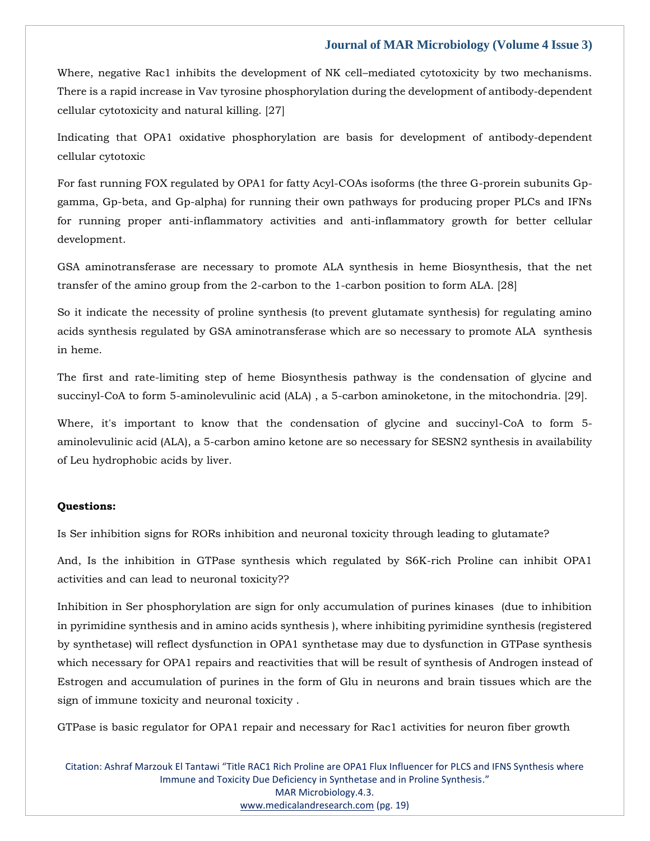Where, negative Rac1 inhibits the development of NK cell–mediated cytotoxicity by two mechanisms. There is a rapid increase in Vav tyrosine phosphorylation during the development of antibody-dependent cellular cytotoxicity and natural killing. [27]

Indicating that OPA1 oxidative phosphorylation are basis for development of antibody-dependent cellular cytotoxic

For fast running FOX regulated by OPA1 for fatty Acyl-COAs isoforms (the three G-prorein subunits Gpgamma, Gp-beta, and Gp-alpha) for running their own pathways for producing proper PLCs and IFNs for running proper anti-inflammatory activities and anti-inflammatory growth for better cellular development.

GSA aminotransferase are necessary to promote ALA synthesis in heme Biosynthesis, that the net transfer of the amino group from the 2-carbon to the 1-carbon position to form ALA. [28]

So it indicate the necessity of proline synthesis (to prevent glutamate synthesis) for regulating amino acids synthesis regulated by GSA aminotransferase which are so necessary to promote ALA synthesis in heme.

The first and rate-limiting step of heme Biosynthesis pathway is the condensation of glycine and succinyl-CoA to form 5-aminolevulinic acid (ALA) , a 5-carbon aminoketone, in the mitochondria. [29].

Where, it's important to know that the condensation of glycine and succinyl-CoA to form 5 aminolevulinic acid (ALA), a 5-carbon amino ketone are so necessary for SESN2 synthesis in availability of Leu hydrophobic acids by liver.

#### **Questions:**

Is Ser inhibition signs for RORs inhibition and neuronal toxicity through leading to glutamate?

And, Is the inhibition in GTPase synthesis which regulated by S6K-rich Proline can inhibit OPA1 activities and can lead to neuronal toxicity??

Inhibition in Ser phosphorylation are sign for only accumulation of purines kinases (due to inhibition in pyrimidine synthesis and in amino acids synthesis ), where inhibiting pyrimidine synthesis (registered by synthetase) will reflect dysfunction in OPA1 synthetase may due to dysfunction in GTPase synthesis which necessary for OPA1 repairs and reactivities that will be result of synthesis of Androgen instead of Estrogen and accumulation of purines in the form of Glu in neurons and brain tissues which are the sign of immune toxicity and neuronal toxicity .

GTPase is basic regulator for OPA1 repair and necessary for Rac1 activities for neuron fiber growth

Citation: Ashraf Marzouk El Tantawi "Title RAC1 Rich Proline are OPA1 Flux Influencer for PLCS and IFNS Synthesis where Immune and Toxicity Due Deficiency in Synthetase and in Proline Synthesis." MAR Microbiology.4.3. [www.medicalandresearch.com](http://www.medicalandresearch.com/) (pg. 19)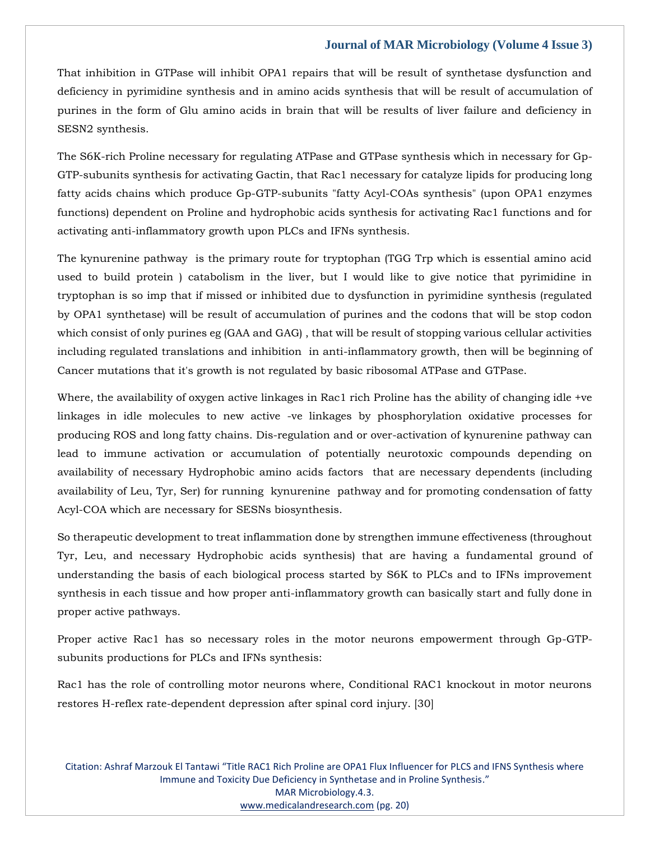That inhibition in GTPase will inhibit OPA1 repairs that will be result of synthetase dysfunction and deficiency in pyrimidine synthesis and in amino acids synthesis that will be result of accumulation of purines in the form of Glu amino acids in brain that will be results of liver failure and deficiency in SESN2 synthesis.

The S6K-rich Proline necessary for regulating ATPase and GTPase synthesis which in necessary for Gp-GTP-subunits synthesis for activating Gactin, that Rac1 necessary for catalyze lipids for producing long fatty acids chains which produce Gp-GTP-subunits "fatty Acyl-COAs synthesis" (upon OPA1 enzymes functions) dependent on Proline and hydrophobic acids synthesis for activating Rac1 functions and for activating anti-inflammatory growth upon PLCs and IFNs synthesis.

The kynurenine pathway is the primary route for tryptophan (TGG Trp which is essential amino acid used to build protein ) catabolism in the liver, but I would like to give notice that pyrimidine in tryptophan is so imp that if missed or inhibited due to dysfunction in pyrimidine synthesis (regulated by OPA1 synthetase) will be result of accumulation of purines and the codons that will be stop codon which consist of only purines eg (GAA and GAG) , that will be result of stopping various cellular activities including regulated translations and inhibition in anti-inflammatory growth, then will be beginning of Cancer mutations that it's growth is not regulated by basic ribosomal ATPase and GTPase.

Where, the availability of oxygen active linkages in Rac1 rich Proline has the ability of changing idle +ve linkages in idle molecules to new active -ve linkages by phosphorylation oxidative processes for producing ROS and long fatty chains. Dis-regulation and or over-activation of kynurenine pathway can lead to immune activation or accumulation of potentially neurotoxic compounds depending on availability of necessary Hydrophobic amino acids factors that are necessary dependents (including availability of Leu, Tyr, Ser) for running kynurenine pathway and for promoting condensation of fatty Acyl-COA which are necessary for SESNs biosynthesis.

So therapeutic development to treat inflammation done by strengthen immune effectiveness (throughout Tyr, Leu, and necessary Hydrophobic acids synthesis) that are having a fundamental ground of understanding the basis of each biological process started by S6K to PLCs and to IFNs improvement synthesis in each tissue and how proper anti-inflammatory growth can basically start and fully done in proper active pathways.

Proper active Rac1 has so necessary roles in the motor neurons empowerment through Gp-GTPsubunits productions for PLCs and IFNs synthesis:

Rac1 has the role of controlling motor neurons where, Conditional RAC1 knockout in motor neurons restores H-reflex rate-dependent depression after spinal cord injury. [30]

Citation: Ashraf Marzouk El Tantawi "Title RAC1 Rich Proline are OPA1 Flux Influencer for PLCS and IFNS Synthesis where Immune and Toxicity Due Deficiency in Synthetase and in Proline Synthesis." MAR Microbiology.4.3. [www.medicalandresearch.com](http://www.medicalandresearch.com/) (pg. 20)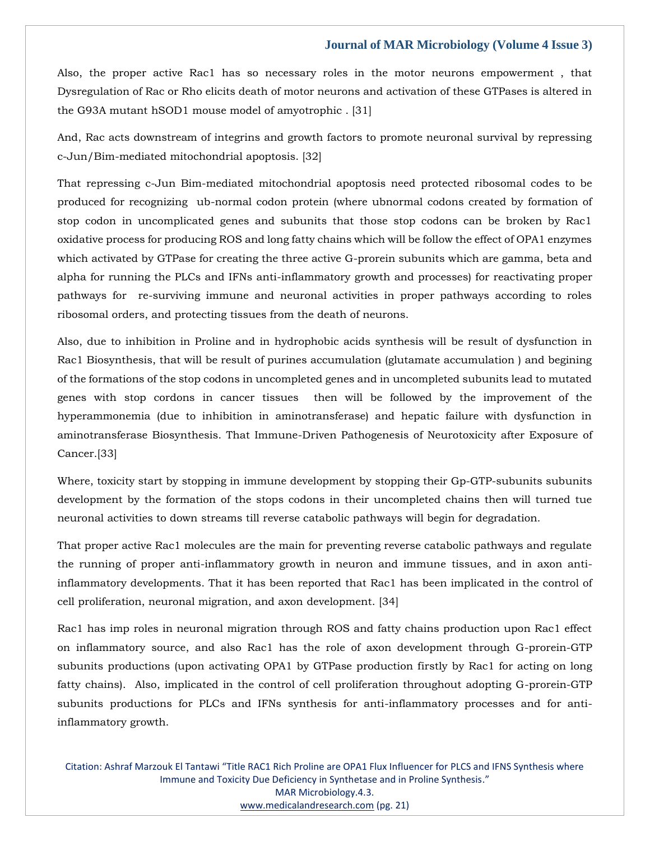Also, the proper active Rac1 has so necessary roles in the motor neurons empowerment , that Dysregulation of Rac or Rho elicits death of motor neurons and activation of these GTPases is altered in the G93A mutant hSOD1 mouse model of amyotrophic . [31]

And, Rac acts downstream of integrins and growth factors to promote neuronal survival by repressing c-Jun/Bim-mediated mitochondrial apoptosis. [32]

That repressing c-Jun Bim-mediated mitochondrial apoptosis need protected ribosomal codes to be produced for recognizing ub-normal codon protein (where ubnormal codons created by formation of stop codon in uncomplicated genes and subunits that those stop codons can be broken by Rac1 oxidative process for producing ROS and long fatty chains which will be follow the effect of OPA1 enzymes which activated by GTPase for creating the three active G-prorein subunits which are gamma, beta and alpha for running the PLCs and IFNs anti-inflammatory growth and processes) for reactivating proper pathways for re-surviving immune and neuronal activities in proper pathways according to roles ribosomal orders, and protecting tissues from the death of neurons.

Also, due to inhibition in Proline and in hydrophobic acids synthesis will be result of dysfunction in Rac1 Biosynthesis, that will be result of purines accumulation (glutamate accumulation ) and begining of the formations of the stop codons in uncompleted genes and in uncompleted subunits lead to mutated genes with stop cordons in cancer tissues then will be followed by the improvement of the hyperammonemia (due to inhibition in aminotransferase) and hepatic failure with dysfunction in aminotransferase Biosynthesis. That Immune-Driven Pathogenesis of Neurotoxicity after Exposure of Cancer.[33]

Where, toxicity start by stopping in immune development by stopping their Gp-GTP-subunits subunits development by the formation of the stops codons in their uncompleted chains then will turned tue neuronal activities to down streams till reverse catabolic pathways will begin for degradation.

That proper active Rac1 molecules are the main for preventing reverse catabolic pathways and regulate the running of proper anti-inflammatory growth in neuron and immune tissues, and in axon antiinflammatory developments. That it has been reported that Rac1 has been implicated in the control of cell proliferation, neuronal migration, and axon development. [34]

Rac1 has imp roles in neuronal migration through ROS and fatty chains production upon Rac1 effect on inflammatory source, and also Rac1 has the role of axon development through G-prorein-GTP subunits productions (upon activating OPA1 by GTPase production firstly by Rac1 for acting on long fatty chains). Also, implicated in the control of cell proliferation throughout adopting G-prorein-GTP subunits productions for PLCs and IFNs synthesis for anti-inflammatory processes and for antiinflammatory growth.

Citation: Ashraf Marzouk El Tantawi "Title RAC1 Rich Proline are OPA1 Flux Influencer for PLCS and IFNS Synthesis where Immune and Toxicity Due Deficiency in Synthetase and in Proline Synthesis." MAR Microbiology.4.3. [www.medicalandresearch.com](http://www.medicalandresearch.com/) (pg. 21)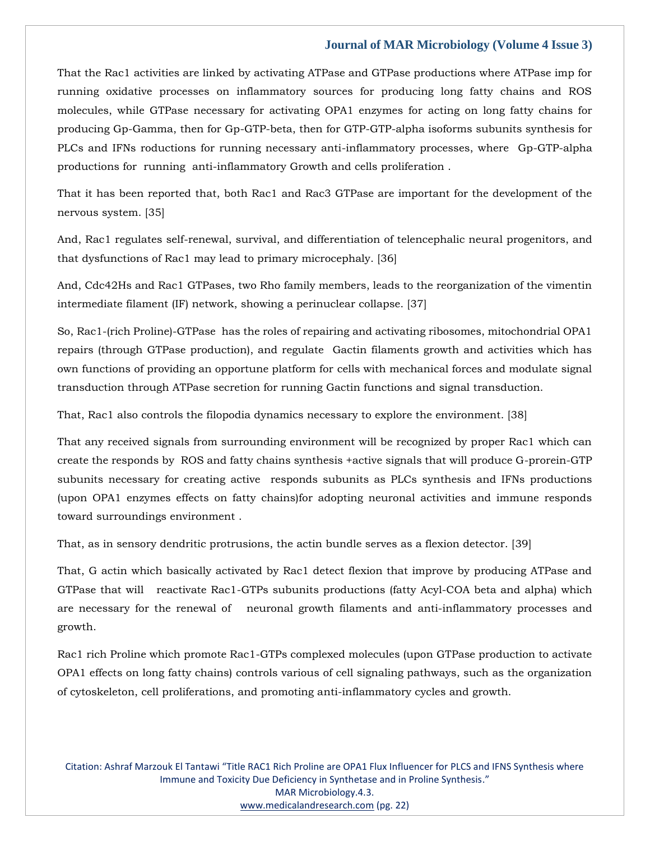That the Rac1 activities are linked by activating ATPase and GTPase productions where ATPase imp for running oxidative processes on inflammatory sources for producing long fatty chains and ROS molecules, while GTPase necessary for activating OPA1 enzymes for acting on long fatty chains for producing Gp-Gamma, then for Gp-GTP-beta, then for GTP-GTP-alpha isoforms subunits synthesis for PLCs and IFNs roductions for running necessary anti-inflammatory processes, where Gp-GTP-alpha productions for running anti-inflammatory Growth and cells proliferation .

That it has been reported that, both Rac1 and Rac3 GTPase are important for the development of the nervous system. [35]

And, Rac1 regulates self-renewal, survival, and differentiation of telencephalic neural progenitors, and that dysfunctions of Rac1 may lead to primary microcephaly. [36]

And, Cdc42Hs and Rac1 GTPases, two Rho family members, leads to the reorganization of the vimentin intermediate filament (IF) network, showing a perinuclear collapse. [37]

So, Rac1-(rich Proline)-GTPase has the roles of repairing and activating ribosomes, mitochondrial OPA1 repairs (through GTPase production), and regulate Gactin filaments growth and activities which has own functions of providing an opportune platform for cells with mechanical forces and modulate signal transduction through ATPase secretion for running Gactin functions and signal transduction.

That, Rac1 also controls the filopodia dynamics necessary to explore the environment. [38]

That any received signals from surrounding environment will be recognized by proper Rac1 which can create the responds by ROS and fatty chains synthesis +active signals that will produce G-prorein-GTP subunits necessary for creating active responds subunits as PLCs synthesis and IFNs productions (upon OPA1 enzymes effects on fatty chains)for adopting neuronal activities and immune responds toward surroundings environment .

That, as in sensory dendritic protrusions, the actin bundle serves as a flexion detector. [39]

That, G actin which basically activated by Rac1 detect flexion that improve by producing ATPase and GTPase that will reactivate Rac1-GTPs subunits productions (fatty Acyl-COA beta and alpha) which are necessary for the renewal of neuronal growth filaments and anti-inflammatory processes and growth.

Rac1 rich Proline which promote Rac1-GTPs complexed molecules (upon GTPase production to activate OPA1 effects on long fatty chains) controls various of cell signaling pathways, such as the organization of cytoskeleton, cell proliferations, and promoting anti-inflammatory cycles and growth.

Citation: Ashraf Marzouk El Tantawi "Title RAC1 Rich Proline are OPA1 Flux Influencer for PLCS and IFNS Synthesis where Immune and Toxicity Due Deficiency in Synthetase and in Proline Synthesis." MAR Microbiology.4.3. [www.medicalandresearch.com](http://www.medicalandresearch.com/) (pg. 22)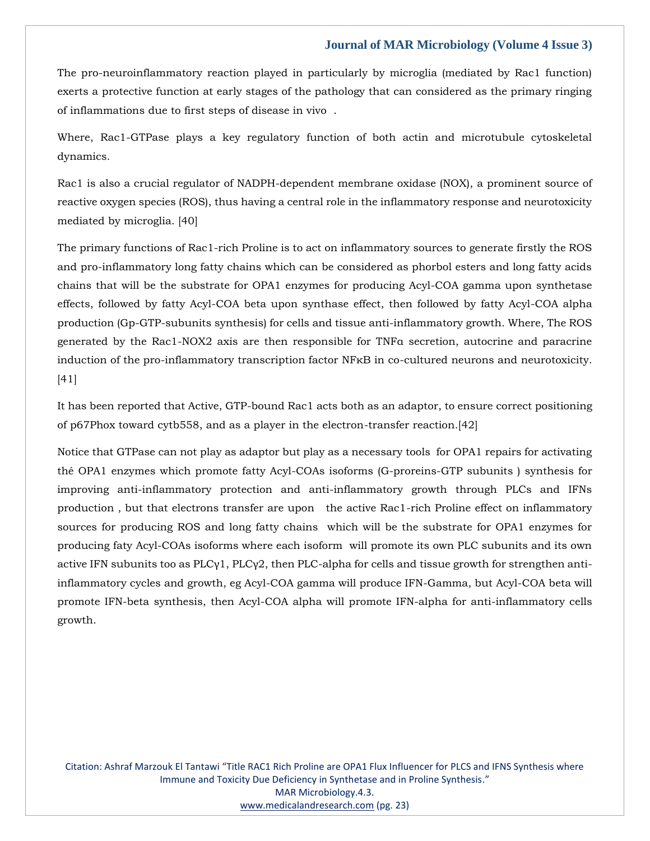The pro-neuroinflammatory reaction played in particularly by microglia (mediated by Rac1 function) exerts a protective function at early stages of the pathology that can considered as the primary ringing of inflammations due to first steps of disease in vivo .

Where, Rac1-GTPase plays a key regulatory function of both actin and microtubule cytoskeletal dynamics.

Rac1 is also a crucial regulator of NADPH-dependent membrane oxidase (NOX), a prominent source of reactive oxygen species (ROS), thus having a central role in the inflammatory response and neurotoxicity mediated by microglia. [40]

The primary functions of Rac1-rich Proline is to act on inflammatory sources to generate firstly the ROS and pro-inflammatory long fatty chains which can be considered as phorbol esters and long fatty acids chains that will be the substrate for OPA1 enzymes for producing Acyl-COA gamma upon synthetase effects, followed by fatty Acyl-COA beta upon synthase effect, then followed by fatty Acyl-COA alpha production (Gp-GTP-subunits synthesis) for cells and tissue anti-inflammatory growth. Where, The ROS generated by the Rac1-NOX2 axis are then responsible for TNFα secretion, autocrine and paracrine induction of the pro-inflammatory transcription factor NFκB in co-cultured neurons and neurotoxicity. [41]

It has been reported that Active, GTP-bound Rac1 acts both as an adaptor, to ensure correct positioning of p67Phox toward cytb558, and as a player in the electron-transfer reaction.[42]

Notice that GTPase can not play as adaptor but play as a necessary tools for OPA1 repairs for activating thé OPA1 enzymes which promote fatty Acyl-COAs isoforms (G-proreins-GTP subunits ) synthesis for improving anti-inflammatory protection and anti-inflammatory growth through PLCs and IFNs production , but that electrons transfer are upon the active Rac1-rich Proline effect on inflammatory sources for producing ROS and long fatty chains which will be the substrate for OPA1 enzymes for producing faty Acyl-COAs isoforms where each isoform will promote its own PLC subunits and its own active IFN subunits too as  $PLC\gamma1$ ,  $PLC\gamma2$ , then PLC-alpha for cells and tissue growth for strengthen antiinflammatory cycles and growth, eg Acyl-COA gamma will produce IFN-Gamma, but Acyl-COA beta will promote IFN-beta synthesis, then Acyl-COA alpha will promote IFN-alpha for anti-inflammatory cells growth.

Citation: Ashraf Marzouk El Tantawi "Title RAC1 Rich Proline are OPA1 Flux Influencer for PLCS and IFNS Synthesis where Immune and Toxicity Due Deficiency in Synthetase and in Proline Synthesis." MAR Microbiology.4.3. [www.medicalandresearch.com](http://www.medicalandresearch.com/) (pg. 23)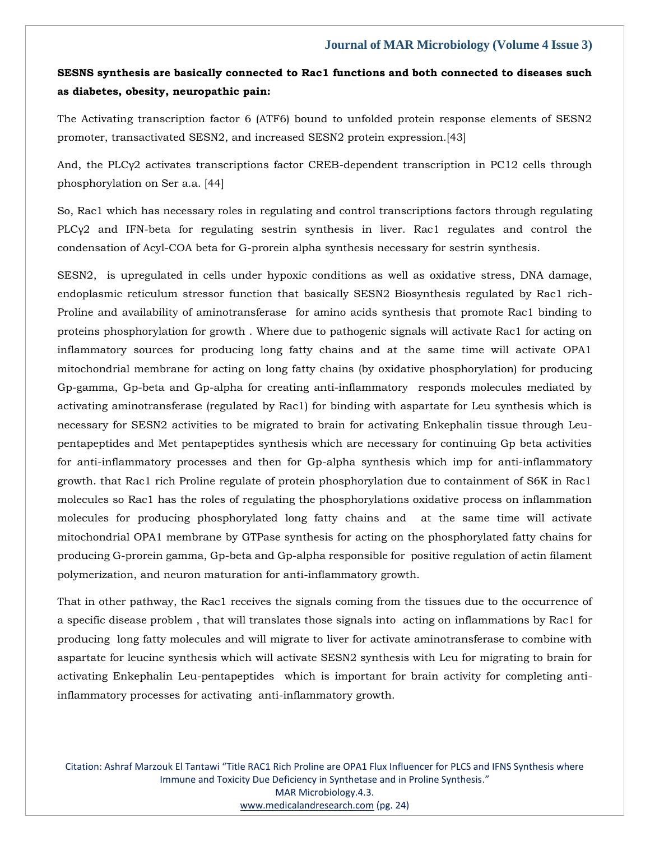## **SESNS synthesis are basically connected to Rac1 functions and both connected to diseases such as diabetes, obesity, neuropathic pain:**

The Activating transcription factor 6 (ATF6) bound to unfolded protein response elements of SESN2 promoter, transactivated SESN2, and increased SESN2 protein expression.[43]

And, the PLCγ2 activates transcriptions factor CREB-dependent transcription in PC12 cells through phosphorylation on Ser a.a. [44]

So, Rac1 which has necessary roles in regulating and control transcriptions factors through regulating PLCγ2 and IFN-beta for regulating sestrin synthesis in liver. Rac1 regulates and control the condensation of Acyl-COA beta for G-prorein alpha synthesis necessary for sestrin synthesis.

SESN2, is upregulated in cells under hypoxic conditions as well as oxidative stress, DNA damage, endoplasmic reticulum stressor function that basically SESN2 Biosynthesis regulated by Rac1 rich-Proline and availability of aminotransferase for amino acids synthesis that promote Rac1 binding to proteins phosphorylation for growth . Where due to pathogenic signals will activate Rac1 for acting on inflammatory sources for producing long fatty chains and at the same time will activate OPA1 mitochondrial membrane for acting on long fatty chains (by oxidative phosphorylation) for producing Gp-gamma, Gp-beta and Gp-alpha for creating anti-inflammatory responds molecules mediated by activating aminotransferase (regulated by Rac1) for binding with aspartate for Leu synthesis which is necessary for SESN2 activities to be migrated to brain for activating Enkephalin tissue through Leupentapeptides and Met pentapeptides synthesis which are necessary for continuing Gp beta activities for anti-inflammatory processes and then for Gp-alpha synthesis which imp for anti-inflammatory growth. that Rac1 rich Proline regulate of protein phosphorylation due to containment of S6K in Rac1 molecules so Rac1 has the roles of regulating the phosphorylations oxidative process on inflammation molecules for producing phosphorylated long fatty chains and at the same time will activate mitochondrial OPA1 membrane by GTPase synthesis for acting on the phosphorylated fatty chains for producing G-prorein gamma, Gp-beta and Gp-alpha responsible for positive regulation of actin filament polymerization, and neuron maturation for anti-inflammatory growth.

That in other pathway, the Rac1 receives the signals coming from the tissues due to the occurrence of a specific disease problem , that will translates those signals into acting on inflammations by Rac1 for producing long fatty molecules and will migrate to liver for activate aminotransferase to combine with aspartate for leucine synthesis which will activate SESN2 synthesis with Leu for migrating to brain for activating Enkephalin Leu-pentapeptides which is important for brain activity for completing antiinflammatory processes for activating anti-inflammatory growth.

Citation: Ashraf Marzouk El Tantawi "Title RAC1 Rich Proline are OPA1 Flux Influencer for PLCS and IFNS Synthesis where Immune and Toxicity Due Deficiency in Synthetase and in Proline Synthesis." MAR Microbiology.4.3. [www.medicalandresearch.com](http://www.medicalandresearch.com/) (pg. 24)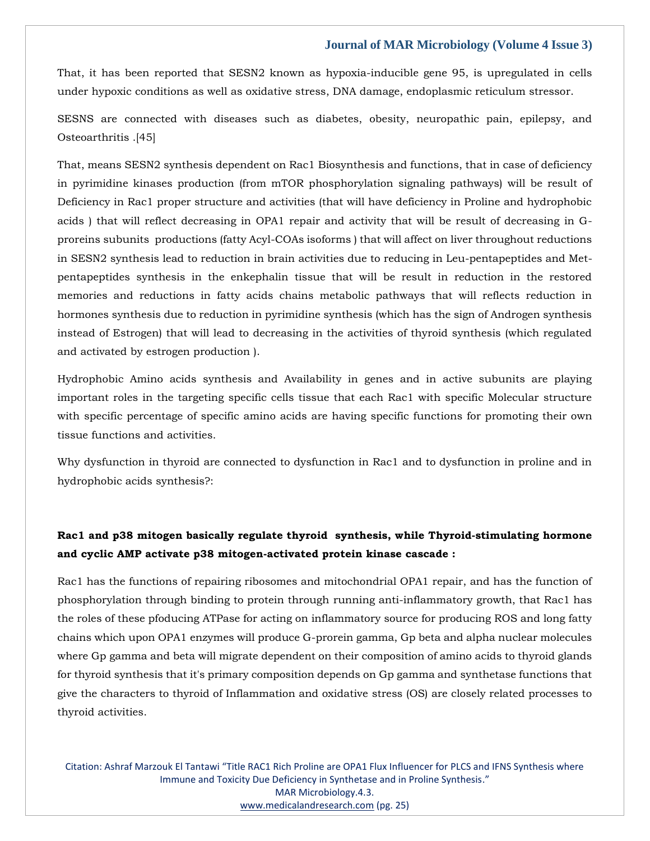That, it has been reported that SESN2 known as hypoxia-inducible gene 95, is upregulated in cells under hypoxic conditions as well as oxidative stress, DNA damage, endoplasmic reticulum stressor.

SESNS are connected with diseases such as diabetes, obesity, neuropathic pain, epilepsy, and Osteoarthritis .[45]

That, means SESN2 synthesis dependent on Rac1 Biosynthesis and functions, that in case of deficiency in pyrimidine kinases production (from mTOR phosphorylation signaling pathways) will be result of Deficiency in Rac1 proper structure and activities (that will have deficiency in Proline and hydrophobic acids ) that will reflect decreasing in OPA1 repair and activity that will be result of decreasing in Gproreins subunits productions (fatty Acyl-COAs isoforms ) that will affect on liver throughout reductions in SESN2 synthesis lead to reduction in brain activities due to reducing in Leu-pentapeptides and Metpentapeptides synthesis in the enkephalin tissue that will be result in reduction in the restored memories and reductions in fatty acids chains metabolic pathways that will reflects reduction in hormones synthesis due to reduction in pyrimidine synthesis (which has the sign of Androgen synthesis instead of Estrogen) that will lead to decreasing in the activities of thyroid synthesis (which regulated and activated by estrogen production ).

Hydrophobic Amino acids synthesis and Availability in genes and in active subunits are playing important roles in the targeting specific cells tissue that each Rac1 with specific Molecular structure with specific percentage of specific amino acids are having specific functions for promoting their own tissue functions and activities.

Why dysfunction in thyroid are connected to dysfunction in Rac1 and to dysfunction in proline and in hydrophobic acids synthesis?:

## **Rac1 and p38 mitogen basically regulate thyroid synthesis, while Thyroid-stimulating hormone and cyclic AMP activate p38 mitogen-activated protein kinase cascade :**

Rac1 has the functions of repairing ribosomes and mitochondrial OPA1 repair, and has the function of phosphorylation through binding to protein through running anti-inflammatory growth, that Rac1 has the roles of these pfoducing ATPase for acting on inflammatory source for producing ROS and long fatty chains which upon OPA1 enzymes will produce G-prorein gamma, Gp beta and alpha nuclear molecules where Gp gamma and beta will migrate dependent on their composition of amino acids to thyroid glands for thyroid synthesis that it's primary composition depends on Gp gamma and synthetase functions that give the characters to thyroid of Inflammation and oxidative stress (OS) are closely related processes to thyroid activities.

Citation: Ashraf Marzouk El Tantawi "Title RAC1 Rich Proline are OPA1 Flux Influencer for PLCS and IFNS Synthesis where Immune and Toxicity Due Deficiency in Synthetase and in Proline Synthesis." MAR Microbiology.4.3. [www.medicalandresearch.com](http://www.medicalandresearch.com/) (pg. 25)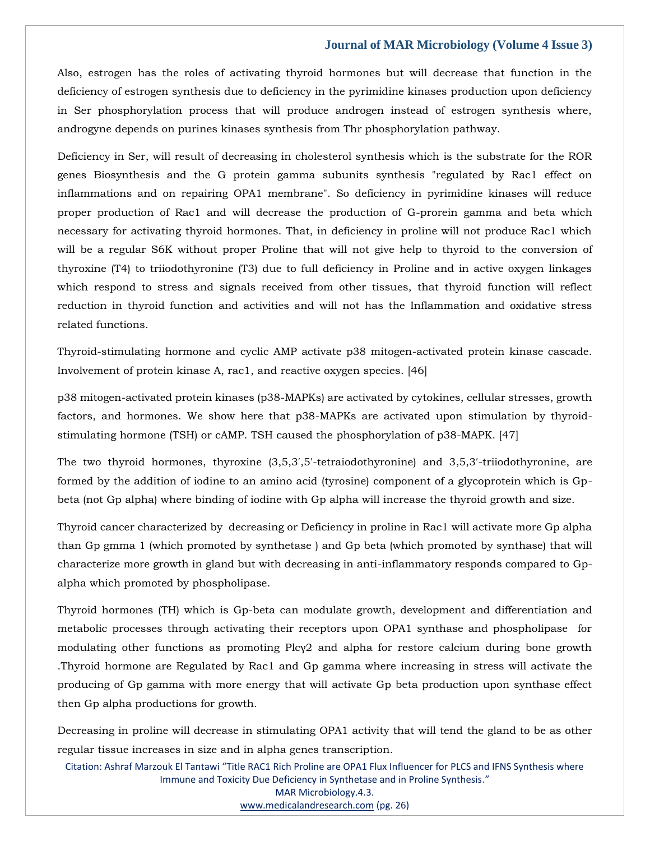Also, estrogen has the roles of activating thyroid hormones but will decrease that function in the deficiency of estrogen synthesis due to deficiency in the pyrimidine kinases production upon deficiency in Ser phosphorylation process that will produce androgen instead of estrogen synthesis where, androgyne depends on purines kinases synthesis from Thr phosphorylation pathway.

Deficiency in Ser, will result of decreasing in cholesterol synthesis which is the substrate for the ROR genes Biosynthesis and the G protein gamma subunits synthesis "regulated by Rac1 effect on inflammations and on repairing OPA1 membrane". So deficiency in pyrimidine kinases will reduce proper production of Rac1 and will decrease the production of G-prorein gamma and beta which necessary for activating thyroid hormones. That, in deficiency in proline will not produce Rac1 which will be a regular S6K without proper Proline that will not give help to thyroid to the conversion of thyroxine (T4) to triiodothyronine (T3) due to full deficiency in Proline and in active oxygen linkages which respond to stress and signals received from other tissues, that thyroid function will reflect reduction in thyroid function and activities and will not has the Inflammation and oxidative stress related functions.

Thyroid-stimulating hormone and cyclic AMP activate p38 mitogen-activated protein kinase cascade. Involvement of protein kinase A, rac1, and reactive oxygen species. [46]

p38 mitogen-activated protein kinases (p38-MAPKs) are activated by cytokines, cellular stresses, growth factors, and hormones. We show here that p38-MAPKs are activated upon stimulation by thyroidstimulating hormone (TSH) or cAMP. TSH caused the phosphorylation of p38-MAPK. [47]

The two thyroid hormones, thyroxine (3,5,3′,5′-tetraiodothyronine) and 3,5,3′-triiodothyronine, are formed by the addition of iodine to an amino acid (tyrosine) component of a glycoprotein which is Gpbeta (not Gp alpha) where binding of iodine with Gp alpha will increase the thyroid growth and size.

Thyroid cancer characterized by decreasing or Deficiency in proline in Rac1 will activate more Gp alpha than Gp gmma 1 (which promoted by synthetase ) and Gp beta (which promoted by synthase) that will characterize more growth in gland but with decreasing in anti-inflammatory responds compared to Gpalpha which promoted by phospholipase.

Thyroid hormones (TH) which is Gp-beta can modulate growth, development and differentiation and metabolic processes through activating their receptors upon OPA1 synthase and phospholipase for modulating other functions as promoting Plcγ2 and alpha for restore calcium during bone growth .Thyroid hormone are Regulated by Rac1 and Gp gamma where increasing in stress will activate the producing of Gp gamma with more energy that will activate Gp beta production upon synthase effect then Gp alpha productions for growth.

Decreasing in proline will decrease in stimulating OPA1 activity that will tend the gland to be as other regular tissue increases in size and in alpha genes transcription.

Citation: Ashraf Marzouk El Tantawi "Title RAC1 Rich Proline are OPA1 Flux Influencer for PLCS and IFNS Synthesis where Immune and Toxicity Due Deficiency in Synthetase and in Proline Synthesis." MAR Microbiology.4.3. [www.medicalandresearch.com](http://www.medicalandresearch.com/) (pg. 26)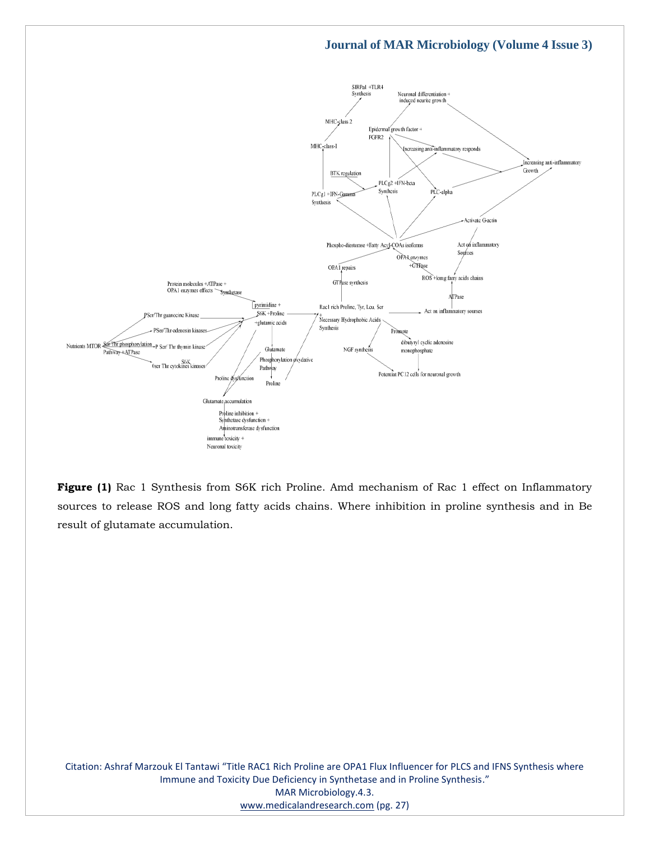

**Figure (1)** Rac 1 Synthesis from S6K rich Proline. Amd mechanism of Rac 1 effect on Inflammatory sources to release ROS and long fatty acids chains. Where inhibition in proline synthesis and in Be result of glutamate accumulation.

Citation: Ashraf Marzouk El Tantawi "Title RAC1 Rich Proline are OPA1 Flux Influencer for PLCS and IFNS Synthesis where Immune and Toxicity Due Deficiency in Synthetase and in Proline Synthesis." MAR Microbiology.4.3. [www.medicalandresearch.com](http://www.medicalandresearch.com/) (pg. 27)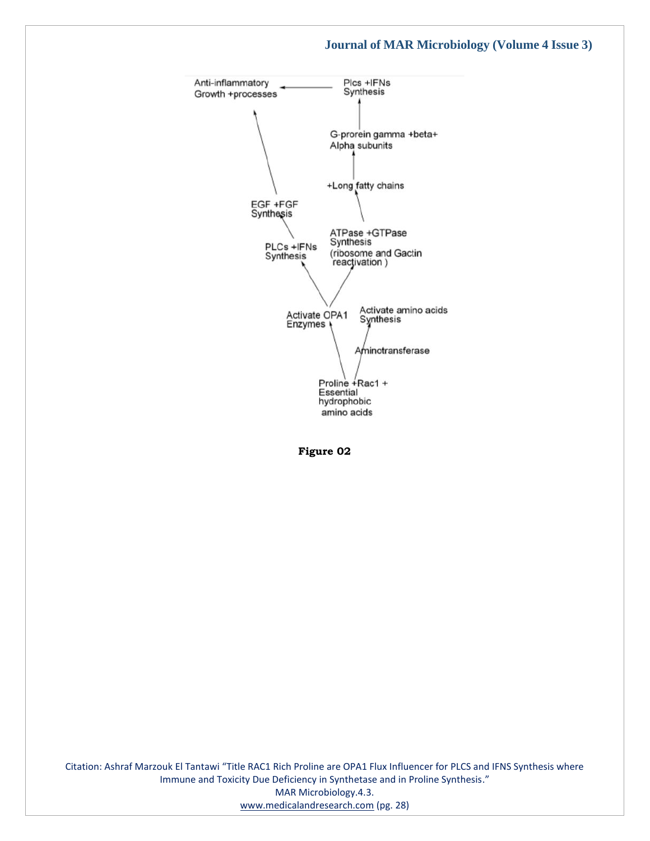

**Figure 02**

Citation: Ashraf Marzouk El Tantawi "Title RAC1 Rich Proline are OPA1 Flux Influencer for PLCS and IFNS Synthesis where Immune and Toxicity Due Deficiency in Synthetase and in Proline Synthesis." MAR Microbiology.4.3. [www.medicalandresearch.com](http://www.medicalandresearch.com/) (pg. 28)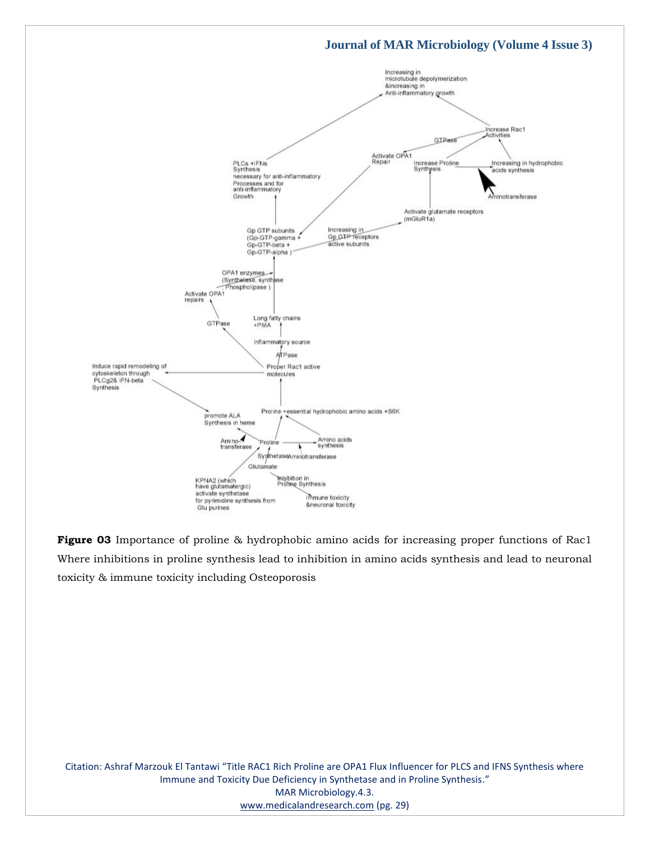

**Figure 03** Importance of proline & hydrophobic amino acids for increasing proper functions of Rac1 Where inhibitions in proline synthesis lead to inhibition in amino acids synthesis and lead to neuronal toxicity & immune toxicity including Osteoporosis

Citation: Ashraf Marzouk El Tantawi "Title RAC1 Rich Proline are OPA1 Flux Influencer for PLCS and IFNS Synthesis where Immune and Toxicity Due Deficiency in Synthetase and in Proline Synthesis." MAR Microbiology.4.3. [www.medicalandresearch.com](http://www.medicalandresearch.com/) (pg. 29)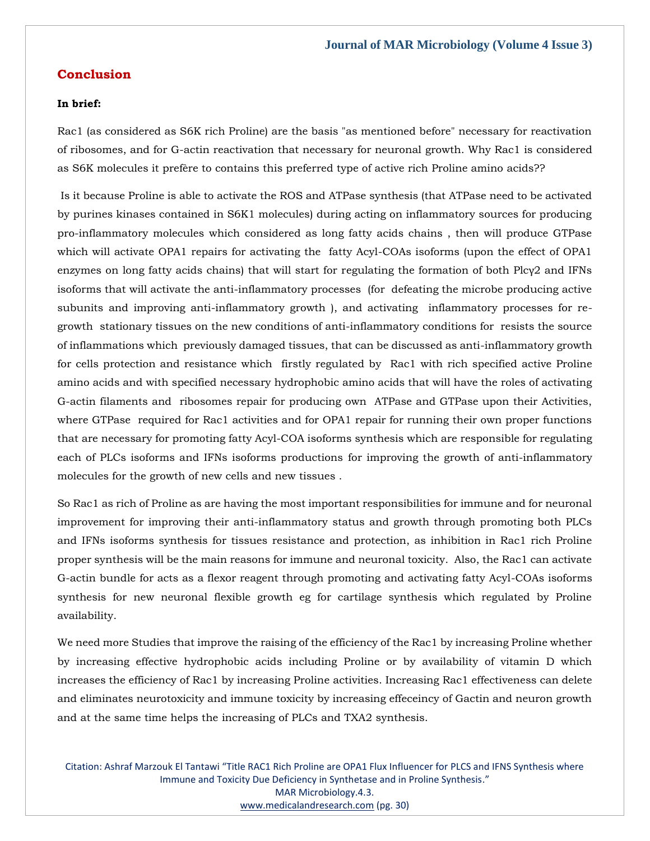#### **Conclusion**

#### **In brief:**

Rac1 (as considered as S6K rich Proline) are the basis "as mentioned before" necessary for reactivation of ribosomes, and for G-actin reactivation that necessary for neuronal growth. Why Rac1 is considered as S6K molecules it prefère to contains this preferred type of active rich Proline amino acids??

Is it because Proline is able to activate the ROS and ATPase synthesis (that ATPase need to be activated by purines kinases contained in S6K1 molecules) during acting on inflammatory sources for producing pro-inflammatory molecules which considered as long fatty acids chains , then will produce GTPase which will activate OPA1 repairs for activating the fatty Acyl-COAs isoforms (upon the effect of OPA1 enzymes on long fatty acids chains) that will start for regulating the formation of both Plcγ2 and IFNs isoforms that will activate the anti-inflammatory processes (for defeating the microbe producing active subunits and improving anti-inflammatory growth ), and activating inflammatory processes for regrowth stationary tissues on the new conditions of anti-inflammatory conditions for resists the source of inflammations which previously damaged tissues, that can be discussed as anti-inflammatory growth for cells protection and resistance which firstly regulated by Rac1 with rich specified active Proline amino acids and with specified necessary hydrophobic amino acids that will have the roles of activating G-actin filaments and ribosomes repair for producing own ATPase and GTPase upon their Activities, where GTPase required for Rac1 activities and for OPA1 repair for running their own proper functions that are necessary for promoting fatty Acyl-COA isoforms synthesis which are responsible for regulating each of PLCs isoforms and IFNs isoforms productions for improving the growth of anti-inflammatory molecules for the growth of new cells and new tissues .

So Rac1 as rich of Proline as are having the most important responsibilities for immune and for neuronal improvement for improving their anti-inflammatory status and growth through promoting both PLCs and IFNs isoforms synthesis for tissues resistance and protection, as inhibition in Rac1 rich Proline proper synthesis will be the main reasons for immune and neuronal toxicity. Also, the Rac1 can activate G-actin bundle for acts as a flexor reagent through promoting and activating fatty Acyl-COAs isoforms synthesis for new neuronal flexible growth eg for cartilage synthesis which regulated by Proline availability.

We need more Studies that improve the raising of the efficiency of the Rac1 by increasing Proline whether by increasing effective hydrophobic acids including Proline or by availability of vitamin D which increases the efficiency of Rac1 by increasing Proline activities. Increasing Rac1 effectiveness can delete and eliminates neurotoxicity and immune toxicity by increasing effeceincy of Gactin and neuron growth and at the same time helps the increasing of PLCs and TXA2 synthesis.

Citation: Ashraf Marzouk El Tantawi "Title RAC1 Rich Proline are OPA1 Flux Influencer for PLCS and IFNS Synthesis where Immune and Toxicity Due Deficiency in Synthetase and in Proline Synthesis." MAR Microbiology.4.3. [www.medicalandresearch.com](http://www.medicalandresearch.com/) (pg. 30)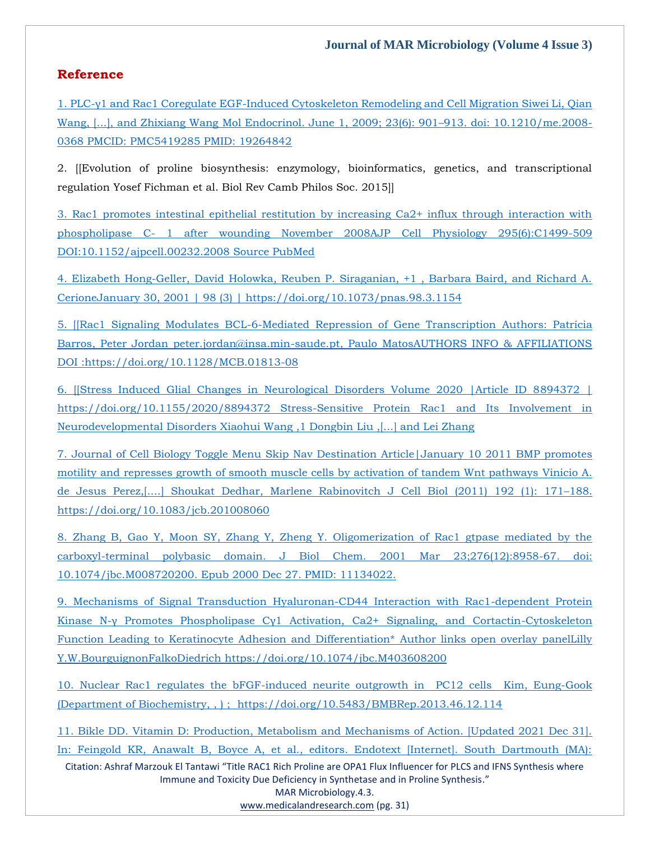## **Reference**

1. PLC-γ1 and Rac1 Coregulate EGF[-Induced Cytoskeleton Remodeling and Cell Migration](file:///C:/Users/Arief%20Mahimudh/Desktop/April/10.1210/me.2008-0368) Siwei Li, Qian Wang, [...], and Zhixiang Wang [Mol Endocrinol. June 1, 2009; 23\(6\): 901](file:///C:/Users/Arief%20Mahimudh/Desktop/April/10.1210/me.2008-0368)–913. doi: 10.1210/me.2008- 0368 [PMCID: PMC5419285](file:///C:/Users/Arief%20Mahimudh/Desktop/April/10.1210/me.2008-0368) PMID: 19264842

2. [[Evolution of proline biosynthesis: enzymology, bioinformatics, genetics, and transcriptional regulation Yosef Fichman et al. Biol Rev Camb Philos Soc. 2015]]

[3. Rac1 promotes intestinal epithelial restitution by increasing Ca2+ influx through interaction with](file:///C:/Users/Arief%20Mahimudh/Desktop/April/10.1152/ajpcell.00232.2008)  phospholipase C- 1 after wounding [November 2008AJP Cell Physiology 295\(6\):C1499-509](file:///C:/Users/Arief%20Mahimudh/Desktop/April/10.1152/ajpcell.00232.2008) [DOI:10.1152/ajpcell.00232.2008](file:///C:/Users/Arief%20Mahimudh/Desktop/April/10.1152/ajpcell.00232.2008) Source PubMed

[4. Elizabeth Hong-Geller, David Holowka, Reuben P. Siraganian, +1 , Barbara Baird, and Richard A.](file:///C:/Users/Arief%20Mahimudh/Desktop/April/4.%20Elizabeth%20Hong-Geller,%20David%20Holowka,%20Reuben%20P.%20Siraganian,%20+1%20,%20Barbara%20Baird,%20and%20Richard%20A.%20CerioneJanuary%2030,%202001%20|%2098%20(3)%20|%20https:/doi.org/10.1073/pnas.98.3.1154)  [CerioneJanuary 30, 2001 | 98 \(3\) | https://doi.org/10.1073/pnas.98.3.1154](file:///C:/Users/Arief%20Mahimudh/Desktop/April/4.%20Elizabeth%20Hong-Geller,%20David%20Holowka,%20Reuben%20P.%20Siraganian,%20+1%20,%20Barbara%20Baird,%20and%20Richard%20A.%20CerioneJanuary%2030,%202001%20|%2098%20(3)%20|%20https:/doi.org/10.1073/pnas.98.3.1154)

[5. \[\[Rac1 Signaling Modulates BCL-6-Mediated Repression of Gene Transcription](file:///C:/Users/Arief%20Mahimudh/Desktop/April/5.%20%5b%5bRac1%20Signaling%20Modulates%20BCL-6-Mediated%20Repression%20of%20Gene%20Transcription%20Authors:%20Patrícia%20Barros,%20Peter%20Jordan%20peter.jordan@insa.min-saude.pt,%20Paulo%20MatosAUTHORS%20INFO%20&%20AFFILIATIONS%20DOI%20:https:/doi.org/10.1128/MCB.01813-08) Authors: Patrícia [Barros, Peter Jordan peter.jordan@insa.min-saude.pt, Paulo MatosAUTHORS INFO & AFFILIATIONS](file:///C:/Users/Arief%20Mahimudh/Desktop/April/5.%20%5b%5bRac1%20Signaling%20Modulates%20BCL-6-Mediated%20Repression%20of%20Gene%20Transcription%20Authors:%20Patrícia%20Barros,%20Peter%20Jordan%20peter.jordan@insa.min-saude.pt,%20Paulo%20MatosAUTHORS%20INFO%20&%20AFFILIATIONS%20DOI%20:https:/doi.org/10.1128/MCB.01813-08) DOI [:https://doi.org/10.1128/MCB.01813-08](file:///C:/Users/Arief%20Mahimudh/Desktop/April/5.%20%5b%5bRac1%20Signaling%20Modulates%20BCL-6-Mediated%20Repression%20of%20Gene%20Transcription%20Authors:%20Patrícia%20Barros,%20Peter%20Jordan%20peter.jordan@insa.min-saude.pt,%20Paulo%20MatosAUTHORS%20INFO%20&%20AFFILIATIONS%20DOI%20:https:/doi.org/10.1128/MCB.01813-08)

[6. \[\[Stress Induced Glial Changes in Neurological Disorders Volume 2020 |Article ID 8894372 |](file:///C:/Users/Arief%20Mahimudh/Desktop/April/6.%20%5b%5bStress%20Induced%20Glial%20Changes%20in%20Neurological%20Disorders%20Volume%202020%20|Article%20ID%208894372%20|%20https:/doi.org/10.1155/2020/8894372%20Stress-Sensitive%20Protein%20Rac1%20and%20Its%20Involvement%20in%20Neurodevelopmental%20Disorders%20Xiaohui%20Wang%20,1%20Dongbin%20Liu%20,%5b...%5d%20and%20Lei%20Zhang)  [https://doi.org/10.1155/2020/8894372 Stress-Sensitive Protein Rac1 and Its Involvement in](file:///C:/Users/Arief%20Mahimudh/Desktop/April/6.%20%5b%5bStress%20Induced%20Glial%20Changes%20in%20Neurological%20Disorders%20Volume%202020%20|Article%20ID%208894372%20|%20https:/doi.org/10.1155/2020/8894372%20Stress-Sensitive%20Protein%20Rac1%20and%20Its%20Involvement%20in%20Neurodevelopmental%20Disorders%20Xiaohui%20Wang%20,1%20Dongbin%20Liu%20,%5b...%5d%20and%20Lei%20Zhang)  [Neurodevelopmental Disorders Xiaohui Wang ,1 Dongbin Liu ,\[...\] and Lei Zhang](file:///C:/Users/Arief%20Mahimudh/Desktop/April/6.%20%5b%5bStress%20Induced%20Glial%20Changes%20in%20Neurological%20Disorders%20Volume%202020%20|Article%20ID%208894372%20|%20https:/doi.org/10.1155/2020/8894372%20Stress-Sensitive%20Protein%20Rac1%20and%20Its%20Involvement%20in%20Neurodevelopmental%20Disorders%20Xiaohui%20Wang%20,1%20Dongbin%20Liu%20,%5b...%5d%20and%20Lei%20Zhang)

[7. Journal of Cell Biology](file:///C:/Users/Arief%20Mahimudh/Desktop/April/7.%20Journal%20of%20Cell%20Biology%20Toggle%20Menu%20Skip%20Nav%20Destination%20Article|January%2010%202011%20BMP%20promotes%20motility%20and%20represses%20growth%20of%20smooth%20muscle%20cells%20by%20activation%20of%20tandem%20Wnt%20pathways%20Vinicio%20A.%20de%20Jesus%20Perez,%5b....%5d%20Shoukat%20Dedhar,%20Marlene%20Rabinovitch%20J%20Cell%20Biol%20(2011)%20192%20(1):%20171–188.%20https:/doi.org/10.1083/jcb.201008060) Toggle Menu Skip Nav Destination Article|January 10 2011 BMP promotes [motility and represses growth of smooth muscle cells by activation of tandem Wnt pathways](file:///C:/Users/Arief%20Mahimudh/Desktop/April/7.%20Journal%20of%20Cell%20Biology%20Toggle%20Menu%20Skip%20Nav%20Destination%20Article|January%2010%202011%20BMP%20promotes%20motility%20and%20represses%20growth%20of%20smooth%20muscle%20cells%20by%20activation%20of%20tandem%20Wnt%20pathways%20Vinicio%20A.%20de%20Jesus%20Perez,%5b....%5d%20Shoukat%20Dedhar,%20Marlene%20Rabinovitch%20J%20Cell%20Biol%20(2011)%20192%20(1):%20171–188.%20https:/doi.org/10.1083/jcb.201008060) Vinicio A. [de Jesus Perez,\[....\] Shoukat Dedhar, Marlene Rabinovitch](file:///C:/Users/Arief%20Mahimudh/Desktop/April/7.%20Journal%20of%20Cell%20Biology%20Toggle%20Menu%20Skip%20Nav%20Destination%20Article|January%2010%202011%20BMP%20promotes%20motility%20and%20represses%20growth%20of%20smooth%20muscle%20cells%20by%20activation%20of%20tandem%20Wnt%20pathways%20Vinicio%20A.%20de%20Jesus%20Perez,%5b....%5d%20Shoukat%20Dedhar,%20Marlene%20Rabinovitch%20J%20Cell%20Biol%20(2011)%20192%20(1):%20171–188.%20https:/doi.org/10.1083/jcb.201008060) J Cell Biol (2011) 192 (1): 171–188. [https://doi.org/10.1083/jcb.201008060](file:///C:/Users/Arief%20Mahimudh/Desktop/April/7.%20Journal%20of%20Cell%20Biology%20Toggle%20Menu%20Skip%20Nav%20Destination%20Article|January%2010%202011%20BMP%20promotes%20motility%20and%20represses%20growth%20of%20smooth%20muscle%20cells%20by%20activation%20of%20tandem%20Wnt%20pathways%20Vinicio%20A.%20de%20Jesus%20Perez,%5b....%5d%20Shoukat%20Dedhar,%20Marlene%20Rabinovitch%20J%20Cell%20Biol%20(2011)%20192%20(1):%20171–188.%20https:/doi.org/10.1083/jcb.201008060)

[8. Zhang B, Gao Y, Moon SY, Zhang Y, Zheng Y. Oligomerization of Rac1 gtpase mediated by the](file:///C:/Users/Arief%20Mahimudh/Desktop/April/10.1074/jbc.M008720200)  [carboxyl-terminal polybasic domain. J Biol Chem. 2001 Mar 23;276\(12\):8958-67. doi:](file:///C:/Users/Arief%20Mahimudh/Desktop/April/10.1074/jbc.M008720200)  [10.1074/jbc.M008720200. Epub 2000 Dec 27. PMID: 11134022.](file:///C:/Users/Arief%20Mahimudh/Desktop/April/10.1074/jbc.M008720200)

9. Mechanisms of Signal Transduction [Hyaluronan-CD44 Interaction with Rac1-dependent Protein](file:///C:/Users/Arief%20Mahimudh/Desktop/April/9.%20Mechanisms%20of%20Signal%20Transduction%20Hyaluronan-CD44%20Interaction%20with%20Rac1-dependent%20Protein%20Kinase%20N-γ%20Promotes%20Phospholipase%20Cγ1%20Activation,%20Ca2+%20Signaling,%20and%20Cortactin-Cytoskeleton%20Function%20Leading%20to%20Keratinocyte%20Adhesion%20and%20Differentiation*%20Author%20links%20open%20overlay%20panelLilly%20Y.W.BourguignonFalkoDiedrich%20https:/doi.org/10.1074/jbc.M403608200)  Kinase N-[γ Promotes Phospholipase Cγ1 Activation, Ca2+ Signaling, and Cortactin](file:///C:/Users/Arief%20Mahimudh/Desktop/April/9.%20Mechanisms%20of%20Signal%20Transduction%20Hyaluronan-CD44%20Interaction%20with%20Rac1-dependent%20Protein%20Kinase%20N-γ%20Promotes%20Phospholipase%20Cγ1%20Activation,%20Ca2+%20Signaling,%20and%20Cortactin-Cytoskeleton%20Function%20Leading%20to%20Keratinocyte%20Adhesion%20and%20Differentiation*%20Author%20links%20open%20overlay%20panelLilly%20Y.W.BourguignonFalkoDiedrich%20https:/doi.org/10.1074/jbc.M403608200)-Cytoskeleton [Function Leading to Keratinocyte Adhesion and Differentiation\\*](file:///C:/Users/Arief%20Mahimudh/Desktop/April/9.%20Mechanisms%20of%20Signal%20Transduction%20Hyaluronan-CD44%20Interaction%20with%20Rac1-dependent%20Protein%20Kinase%20N-γ%20Promotes%20Phospholipase%20Cγ1%20Activation,%20Ca2+%20Signaling,%20and%20Cortactin-Cytoskeleton%20Function%20Leading%20to%20Keratinocyte%20Adhesion%20and%20Differentiation*%20Author%20links%20open%20overlay%20panelLilly%20Y.W.BourguignonFalkoDiedrich%20https:/doi.org/10.1074/jbc.M403608200) Author links open overlay panelLilly Y.W.BourguignonFalkoDiedrich [https://doi.org/10.1074/jbc.M403608200](file:///C:/Users/Arief%20Mahimudh/Desktop/April/9.%20Mechanisms%20of%20Signal%20Transduction%20Hyaluronan-CD44%20Interaction%20with%20Rac1-dependent%20Protein%20Kinase%20N-γ%20Promotes%20Phospholipase%20Cγ1%20Activation,%20Ca2+%20Signaling,%20and%20Cortactin-Cytoskeleton%20Function%20Leading%20to%20Keratinocyte%20Adhesion%20and%20Differentiation*%20Author%20links%20open%20overlay%20panelLilly%20Y.W.BourguignonFalkoDiedrich%20https:/doi.org/10.1074/jbc.M403608200)

[10. Nuclear Rac1 regulates the bFGF-induced neurite outgrowth in PC12 cells Kim, Eung-Gook](file:///C:/Users/Arief%20Mahimudh/Desktop/April/10.%20Nuclear%20Rac1%20regulates%20the%20bFGF-induced%20neurite%20outgrowth%20in%20%20PC12%20cells%20%20Kim,%20Eung-Gook%20(Department%20of%20Biochemistry,%20,%20)%20;%20%20https:/doi.org/10.5483/BMBRep.2013.46.12.114)  [\(Department of Biochemistry, , \) ; https://doi.org/10.5483/BMBRep.2013.46.12.114](file:///C:/Users/Arief%20Mahimudh/Desktop/April/10.%20Nuclear%20Rac1%20regulates%20the%20bFGF-induced%20neurite%20outgrowth%20in%20%20PC12%20cells%20%20Kim,%20Eung-Gook%20(Department%20of%20Biochemistry,%20,%20)%20;%20%20https:/doi.org/10.5483/BMBRep.2013.46.12.114)

[11. Bikle DD. Vitamin D: Production, Metabolism and Mechanisms of Action. \[Updated 2021 Dec 31\].](http://creativecommons.org/licenses/by-nc-nd/2.0/)  [In: Feingold KR, Anawalt B, Boyce A, et al., editors. Endotext \[Internet\]. South Dartmouth \(MA\):](http://creativecommons.org/licenses/by-nc-nd/2.0/) 

Citation: Ashraf Marzouk El Tantawi "Title RAC1 Rich Proline are OPA1 Flux Influencer for PLCS and IFNS Synthesis where Immune and Toxicity Due Deficiency in Synthetase and in Proline Synthesis." MAR Microbiology.4.3.

[www.medicalandresearch.com](http://www.medicalandresearch.com/) (pg. 31)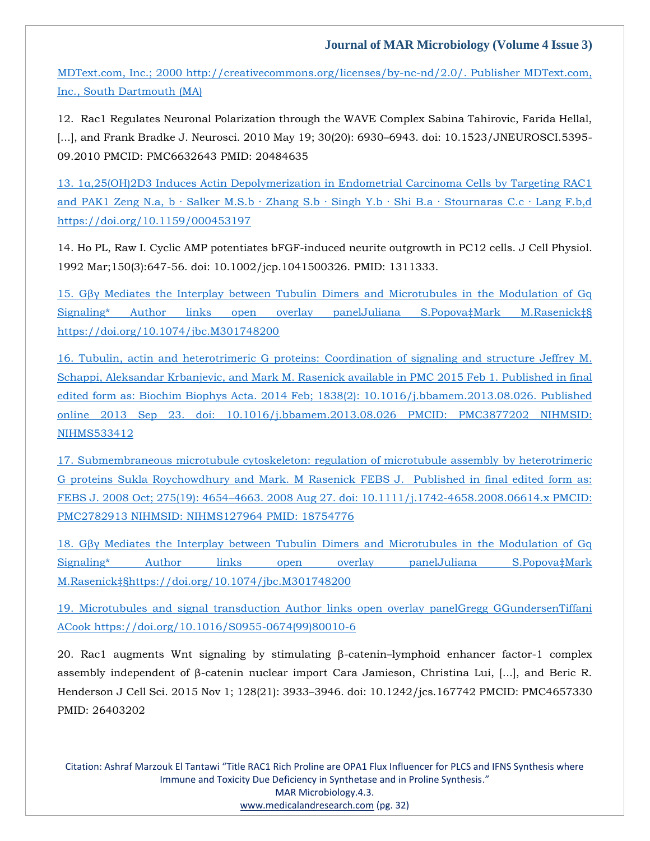[MDText.com, Inc.; 2000 http://creativecommons.org/licenses/by-nc-nd/2.0/.](http://creativecommons.org/licenses/by-nc-nd/2.0/) Publisher MDText.com, [Inc., South Dartmouth \(MA\)](http://creativecommons.org/licenses/by-nc-nd/2.0/)

12. Rac1 Regulates Neuronal Polarization through the WAVE Complex Sabina Tahirovic, Farida Hellal, [...], and Frank Bradke J. Neurosci. 2010 May 19; 30(20): 6930–6943. doi: 10.1523/JNEUROSCI.5395-09.2010 PMCID: PMC6632643 PMID: 20484635

13. [1α,25\(OH\)2D3 Induces Actin Depolymerization in Endometrial Carcinoma Cel](file:///C:/Users/Arief%20Mahimudh/Desktop/April/13.%201α,25(OH)2D3%20Induces%20Actin%20Depolymerization%20in%20Endometrial%20Carcinoma%20Cells%20by%20Targeting%20RAC1%20and%20PAK1%20Zeng%20N.a,%20b%20·%20Salker%20M.S.b%20·%20Zhang%20S.b%20·%20Singh%20Y.b%20·%20Shi%20B.a%20·%20Stournaras%20C.c%20·%20Lang%20F.b,d%20https:/doi.org/10.1159/000453197)ls by Targeting RAC1 and PAK1 Zeng N.a, b · Salker M.S.b · Zhang S.b · Singh Y.b · Shi B.a · Stournaras C.c · Lang F.b,d [https://doi.org/10.1159/000453197](file:///C:/Users/Arief%20Mahimudh/Desktop/April/13.%201α,25(OH)2D3%20Induces%20Actin%20Depolymerization%20in%20Endometrial%20Carcinoma%20Cells%20by%20Targeting%20RAC1%20and%20PAK1%20Zeng%20N.a,%20b%20·%20Salker%20M.S.b%20·%20Zhang%20S.b%20·%20Singh%20Y.b%20·%20Shi%20B.a%20·%20Stournaras%20C.c%20·%20Lang%20F.b,d%20https:/doi.org/10.1159/000453197)

14. Ho PL, Raw I. Cyclic AMP potentiates bFGF-induced neurite outgrowth in PC12 cells. J Cell Physiol. 1992 Mar;150(3):647-56. doi: 10.1002/jcp.1041500326. PMID: 1311333.

15. [Gβγ Mediates the Interplay between Tubulin Dimers and Microtubules in the Modulation of Gq](file:///C:/Users/Arief%20Mahimudh/Desktop/April/15.%20Gβγ%20Mediates%20the%20Interplay%20between%20Tubulin%20Dimers%20and%20Microtubules%20in%20the%20Modulation%20of%20Gq%20Signaling*%20Author%20links%20open%20overlay%20panelJuliana%20S.Popova‡Mark%20M.Rasenick‡§%20https:/doi.org/10.1074/jbc.M301748200)  Signaling\* Author [links open overlay panelJuliana S.Popova‡Mark M.Rasenick‡§](file:///C:/Users/Arief%20Mahimudh/Desktop/April/15.%20Gβγ%20Mediates%20the%20Interplay%20between%20Tubulin%20Dimers%20and%20Microtubules%20in%20the%20Modulation%20of%20Gq%20Signaling*%20Author%20links%20open%20overlay%20panelJuliana%20S.Popova‡Mark%20M.Rasenick‡§%20https:/doi.org/10.1074/jbc.M301748200) [https://doi.org/10.1074/jbc.M301748200](file:///C:/Users/Arief%20Mahimudh/Desktop/April/15.%20Gβγ%20Mediates%20the%20Interplay%20between%20Tubulin%20Dimers%20and%20Microtubules%20in%20the%20Modulation%20of%20Gq%20Signaling*%20Author%20links%20open%20overlay%20panelJuliana%20S.Popova‡Mark%20M.Rasenick‡§%20https:/doi.org/10.1074/jbc.M301748200)

[16. Tubulin, actin and heterotrimeric G proteins: Coordination of signaling and structure](file:///C:/Users/Arief%20Mahimudh/Desktop/April/10.1016/j.bbamem.2013.08.026) Jeffrey M. [Schappi, Aleksandar Krbanjevic, and Mark M. Rasenick available in PMC 2015 Feb 1.](file:///C:/Users/Arief%20Mahimudh/Desktop/April/10.1016/j.bbamem.2013.08.026) Published in final edited form as: [Biochim Biophys Acta. 2014 Feb; 1838\(2\): 10.1016/j.bbamem.2013.08.026.](file:///C:/Users/Arief%20Mahimudh/Desktop/April/10.1016/j.bbamem.2013.08.026) Published [online 2013 Sep 23. doi: 10.1016/j.bbamem.2013.08.026](file:///C:/Users/Arief%20Mahimudh/Desktop/April/10.1016/j.bbamem.2013.08.026) PMCID: PMC3877202 NIHMSID: [NIHMS533412](file:///C:/Users/Arief%20Mahimudh/Desktop/April/10.1016/j.bbamem.2013.08.026)

[17. Submembraneous microtubule cytoskeleton: regulation of microtubule assembly by heterotrimeric](file:///C:/Users/Arief%20Mahimudh/Desktop/April/10.1111/j.1742-4658)  G proteins [Sukla Roychowdhury and Mark. M Rasenick](file:///C:/Users/Arief%20Mahimudh/Desktop/April/10.1111/j.1742-4658) FEBS J. Published in final edited form as: FEBS J. 2008 Oct; 275(19): 4654–4663. [2008 Aug 27. doi: 10.1111/j.1742-4658.2008.06614.x](file:///C:/Users/Arief%20Mahimudh/Desktop/April/10.1111/j.1742-4658) PMCID: PMC2782913 [NIHMSID: NIHMS127964](file:///C:/Users/Arief%20Mahimudh/Desktop/April/10.1111/j.1742-4658) PMID: 18754776

18. [Gβγ Mediates the Interplay between Tubulin Dimers and Microtubules in the Modulation of Gq](https://doi.org/10.1074/jbc.M301748200)  Signaling\* [Author links open overlay panelJuliana S.Popova‡Mark](https://doi.org/10.1074/jbc.M301748200)  [M.Rasenick‡§https://doi.org/10.1074/jbc.M3](https://doi.org/10.1074/jbc.M301748200)01748200

19. Microtubules and signal transduction [Author links open overlay panelGregg GGundersenTiffani](file:///C:/Users/Arief%20Mahimudh/Desktop/April/19.%20Microtubules%20and%20signal%20transduction%20Author%20links%20open%20overlay%20panelGregg%20GGundersenTiffani%20ACook%20https:/doi.org/10.1016/S0955-0674(99)80010-6)  ACook [https://doi.org/10.1016/S0955-0674\(99\)80010-6](file:///C:/Users/Arief%20Mahimudh/Desktop/April/19.%20Microtubules%20and%20signal%20transduction%20Author%20links%20open%20overlay%20panelGregg%20GGundersenTiffani%20ACook%20https:/doi.org/10.1016/S0955-0674(99)80010-6)

20. Rac1 augments Wnt signaling by stimulating β-catenin–lymphoid enhancer factor-1 complex assembly independent of β-catenin nuclear import Cara Jamieson, Christina Lui, [...], and Beric R. Henderson J Cell Sci. 2015 Nov 1; 128(21): 3933–3946. doi: 10.1242/jcs.167742 PMCID: PMC4657330 PMID: 26403202

Citation: Ashraf Marzouk El Tantawi "Title RAC1 Rich Proline are OPA1 Flux Influencer for PLCS and IFNS Synthesis where Immune and Toxicity Due Deficiency in Synthetase and in Proline Synthesis." MAR Microbiology.4.3. [www.medicalandresearch.com](http://www.medicalandresearch.com/) (pg. 32)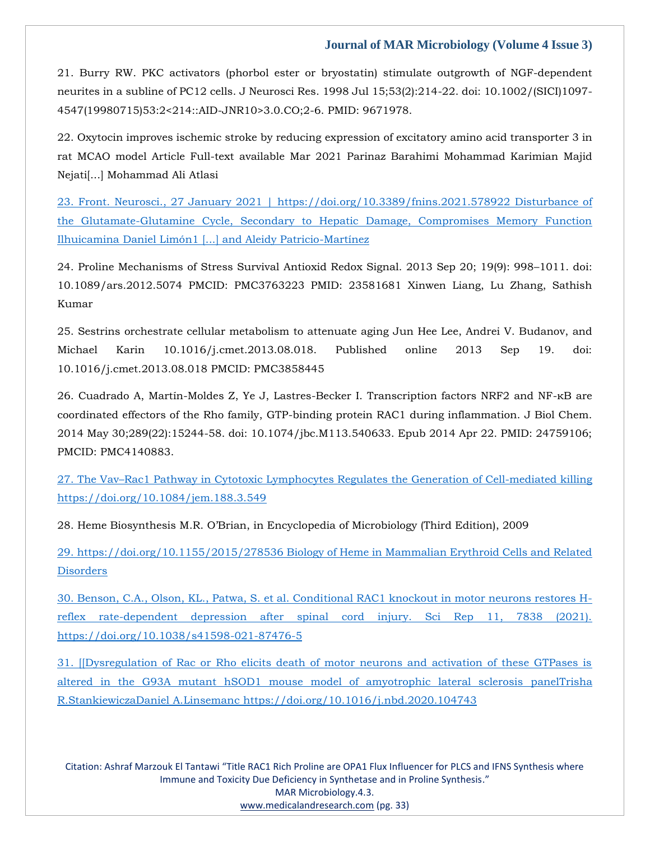21. Burry RW. PKC activators (phorbol ester or bryostatin) stimulate outgrowth of NGF-dependent neurites in a subline of PC12 cells. J Neurosci Res. 1998 Jul 15;53(2):214-22. doi: 10.1002/(SICI)1097- 4547(19980715)53:2<214::AID-JNR10>3.0.CO;2-6. PMID: 9671978.

22. Oxytocin improves ischemic stroke by reducing expression of excitatory amino acid transporter 3 in rat MCAO model Article Full-text available Mar 2021 Parinaz Barahimi Mohammad Karimian Majid Nejati[...] Mohammad Ali Atlasi

[23. Front. Neurosci., 27 January 2021 | https://doi.org/10.3389/fnins.2021.578922 Disturbance of](https://doi.org/10.3389/fnins.2021.578922)  [the Glutamate-Glutamine Cycle, Secondary to Hepatic Damage, Compromises Memory Function](https://doi.org/10.3389/fnins.2021.578922) [Ilhuicamina Daniel Limón1 \[...\] and Aleidy Patricio-Martínez](https://doi.org/10.3389/fnins.2021.578922)

24. Proline Mechanisms of Stress Survival Antioxid Redox Signal. 2013 Sep 20; 19(9): 998–1011. doi: 10.1089/ars.2012.5074 PMCID: PMC3763223 PMID: 23581681 Xinwen Liang, Lu Zhang, Sathish Kumar

25. Sestrins orchestrate cellular metabolism to attenuate aging Jun Hee Lee, Andrei V. Budanov, and Michael Karin 10.1016/j.cmet.2013.08.018. Published online 2013 Sep 19. doi: 10.1016/j.cmet.2013.08.018 PMCID: PMC3858445

26. Cuadrado A, Martín-Moldes Z, Ye J, Lastres-Becker I. Transcription factors NRF2 and NF-κB are coordinated effectors of the Rho family, GTP-binding protein RAC1 during inflammation. J Biol Chem. 2014 May 30;289(22):15244-58. doi: 10.1074/jbc.M113.540633. Epub 2014 Apr 22. PMID: 24759106; PMCID: PMC4140883.

27. The Vav–[Rac1 Pathway in Cytotoxic Lymphocytes Regulates the Generation of Cell-mediated killing](file:///C:/Users/Arief%20Mahimudh/Desktop/April/27.%20The%20Vav–Rac1%20Pathway%20in%20Cytotoxic%20Lymphocytes%20Regulates%20the%20Generation%20of%20Cell-mediated%20killing%20https:/doi.org/10.1084/jem.188.3.549) [https://doi.org/10.1084/jem.188.3.549](file:///C:/Users/Arief%20Mahimudh/Desktop/April/27.%20The%20Vav–Rac1%20Pathway%20in%20Cytotoxic%20Lymphocytes%20Regulates%20the%20Generation%20of%20Cell-mediated%20killing%20https:/doi.org/10.1084/jem.188.3.549)

28. Heme Biosynthesis M.R. O'Brian, in Encyclopedia of Microbiology (Third Edition), 2009

[29. https://doi.org/10.1155/2015/278536 Biology of Heme in Mammalian Erythroid Cells and Related](https://doi.org/10.1155/2015/278536)  **[Disorders](https://doi.org/10.1155/2015/278536)** 

[30. Benson, C.A., Olson, KL., Patwa, S. et al. Conditional RAC1 knockout in motor neurons restores H](file:///C:/Users/Arief%20Mahimudh/Desktop/April/30.%20Benson,%20C.A.,%20Olson,%20KL.,%20Patwa,%20S.%20et%20al.%20Conditional%20RAC1%20knockout%20in%20motor%20neurons%20restores%20H-reflex%20rate-dependent%20depression%20after%20spinal%20cord%20injury.%20Sci%20Rep%2011,%207838%20(2021).%20https:/doi.org/10.1038/s41598-021-87476-5)[reflex rate-dependent depression after spinal cord injury. Sci Rep 11, 7838 \(2021\).](file:///C:/Users/Arief%20Mahimudh/Desktop/April/30.%20Benson,%20C.A.,%20Olson,%20KL.,%20Patwa,%20S.%20et%20al.%20Conditional%20RAC1%20knockout%20in%20motor%20neurons%20restores%20H-reflex%20rate-dependent%20depression%20after%20spinal%20cord%20injury.%20Sci%20Rep%2011,%207838%20(2021).%20https:/doi.org/10.1038/s41598-021-87476-5)  [https://doi.org/10.1038/s41598-021-87476-5](file:///C:/Users/Arief%20Mahimudh/Desktop/April/30.%20Benson,%20C.A.,%20Olson,%20KL.,%20Patwa,%20S.%20et%20al.%20Conditional%20RAC1%20knockout%20in%20motor%20neurons%20restores%20H-reflex%20rate-dependent%20depression%20after%20spinal%20cord%20injury.%20Sci%20Rep%2011,%207838%20(2021).%20https:/doi.org/10.1038/s41598-021-87476-5)

[31. \[\[Dysregulation of Rac or Rho elicits death of motor neurons and activation of these GTPases is](file:///C:/Users/Arief%20Mahimudh/Desktop/April/31.%20%5b%5bDysregulation%20of%20Rac%20or%20Rho%20elicits%20death%20of%20motor%20neurons%20and%20activation%20of%20these%20GTPases%20is%20altered%20in%20the%20G93A%20mutant%20hSOD1%20mouse%20model%20of%20amyotrophic%20lateral%20sclerosis%20panelTrisha%20R.StankiewiczaDaniel%20A.Linsemanc%20https:/doi.org/10.1016/j.nbd.2020.104743)  [altered in the G93A mutant hSOD1 mouse model of amyotrophic lateral sclerosis](file:///C:/Users/Arief%20Mahimudh/Desktop/April/31.%20%5b%5bDysregulation%20of%20Rac%20or%20Rho%20elicits%20death%20of%20motor%20neurons%20and%20activation%20of%20these%20GTPases%20is%20altered%20in%20the%20G93A%20mutant%20hSOD1%20mouse%20model%20of%20amyotrophic%20lateral%20sclerosis%20panelTrisha%20R.StankiewiczaDaniel%20A.Linsemanc%20https:/doi.org/10.1016/j.nbd.2020.104743) panelTrisha R.StankiewiczaDaniel A.Linsemanc [https://doi.org/10.1016/j.nbd.2020.104743](file:///C:/Users/Arief%20Mahimudh/Desktop/April/31.%20%5b%5bDysregulation%20of%20Rac%20or%20Rho%20elicits%20death%20of%20motor%20neurons%20and%20activation%20of%20these%20GTPases%20is%20altered%20in%20the%20G93A%20mutant%20hSOD1%20mouse%20model%20of%20amyotrophic%20lateral%20sclerosis%20panelTrisha%20R.StankiewiczaDaniel%20A.Linsemanc%20https:/doi.org/10.1016/j.nbd.2020.104743)

Citation: Ashraf Marzouk El Tantawi "Title RAC1 Rich Proline are OPA1 Flux Influencer for PLCS and IFNS Synthesis where Immune and Toxicity Due Deficiency in Synthetase and in Proline Synthesis." MAR Microbiology.4.3. [www.medicalandresearch.com](http://www.medicalandresearch.com/) (pg. 33)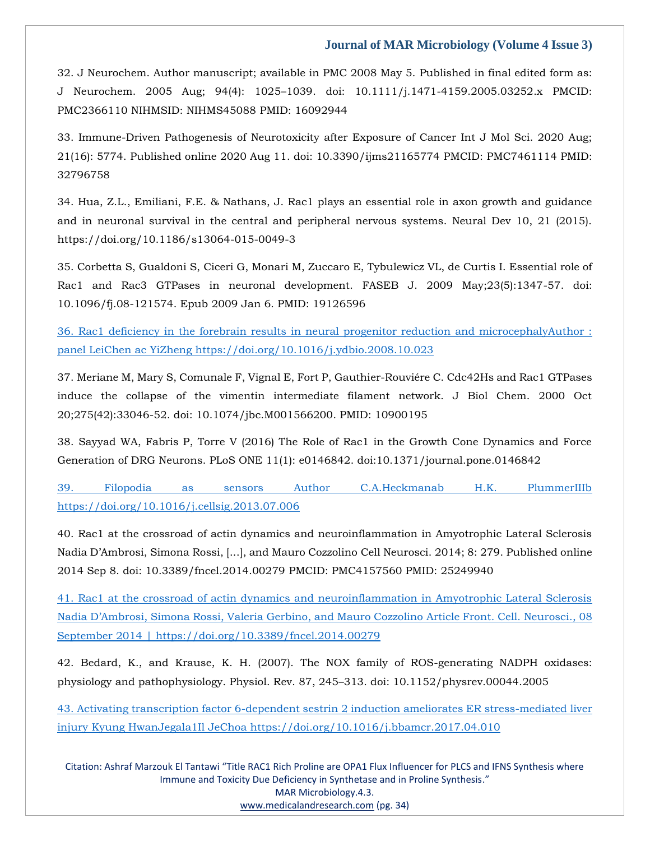32. J Neurochem. Author manuscript; available in PMC 2008 May 5. Published in final edited form as: J Neurochem. 2005 Aug; 94(4): 1025–1039. doi: 10.1111/j.1471-4159.2005.03252.x PMCID: PMC2366110 NIHMSID: NIHMS45088 PMID: 16092944

33. Immune-Driven Pathogenesis of Neurotoxicity after Exposure of Cancer Int J Mol Sci. 2020 Aug; 21(16): 5774. Published online 2020 Aug 11. doi: 10.3390/ijms21165774 PMCID: PMC7461114 PMID: 32796758

34. Hua, Z.L., Emiliani, F.E. & Nathans, J. Rac1 plays an essential role in axon growth and guidance and in neuronal survival in the central and peripheral nervous systems. Neural Dev 10, 21 (2015). https://doi.org/10.1186/s13064-015-0049-3

35. Corbetta S, Gualdoni S, Ciceri G, Monari M, Zuccaro E, Tybulewicz VL, de Curtis I. Essential role of Rac1 and Rac3 GTPases in neuronal development. FASEB J. 2009 May;23(5):1347-57. doi: 10.1096/fj.08-121574. Epub 2009 Jan 6. PMID: 19126596

[36. Rac1 deficiency in the forebrain results in neural progenitor reduction and microcephalyAuthor :](file:///C:/Users/Arief%20Mahimudh/Desktop/April/36.%20Rac1%20deficiency%20in%20the%20forebrain%20results%20in%20neural%20progenitor%20reduction%20and%20microcephalyAuthor%20:%20panel%20LeiChen%20ac%20YiZheng%20https:/doi.org/10.1016/j.ydbio.2008.10.023)  [panel LeiChen ac YiZheng https://doi.org/10.1016/j.ydbio.2008.10.023](file:///C:/Users/Arief%20Mahimudh/Desktop/April/36.%20Rac1%20deficiency%20in%20the%20forebrain%20results%20in%20neural%20progenitor%20reduction%20and%20microcephalyAuthor%20:%20panel%20LeiChen%20ac%20YiZheng%20https:/doi.org/10.1016/j.ydbio.2008.10.023)

37. Meriane M, Mary S, Comunale F, Vignal E, Fort P, Gauthier-Rouviére C. Cdc42Hs and Rac1 GTPases induce the collapse of the vimentin intermediate filament network. J Biol Chem. 2000 Oct 20;275(42):33046-52. doi: 10.1074/jbc.M001566200. PMID: 10900195

38. Sayyad WA, Fabris P, Torre V (2016) The Role of Rac1 in the Growth Cone Dynamics and Force Generation of DRG Neurons. PLoS ONE 11(1): e0146842. doi:10.1371/journal.pone.0146842

[39. Filopodia as sensors Author C.A.Heckmanab H.K. PlummerIIIb](file:///C:/Users/Arief%20Mahimudh/Desktop/April/39.%20Filopodia%20as%20sensors%20Author%20C.A.Heckmanab%20H.K.%20PlummerIIIb%20https:/doi.org/10.1016/j.cellsig.2013.07.006)  [https://doi.org/10.1016/j.cellsig.2013.07.006](file:///C:/Users/Arief%20Mahimudh/Desktop/April/39.%20Filopodia%20as%20sensors%20Author%20C.A.Heckmanab%20H.K.%20PlummerIIIb%20https:/doi.org/10.1016/j.cellsig.2013.07.006)

40. Rac1 at the crossroad of actin dynamics and neuroinflammation in Amyotrophic Lateral Sclerosis Nadia D'Ambrosi, Simona Rossi, [...], and Mauro Cozzolino Cell Neurosci. 2014; 8: 279. Published online 2014 Sep 8. doi: 10.3389/fncel.2014.00279 PMCID: PMC4157560 PMID: 25249940

[41. Rac1 at the crossroad of actin dynamics and neuroinflammation in Amyotrophic Lateral Sclerosis](file:///C:/Users/Arief%20Mahimudh/Desktop/April/41.%20Rac1%20at%20the%20crossroad%20of%20actin%20dynamics%20and%20neuroinflammation%20in%20Amyotrophic%20Lateral%20Sclerosis%20Nadia%20D’Ambrosi,%20Simona%20Rossi,%20Valeria%20Gerbino,%20and%20Mauro%20Cozzolino%20Article%20Front.%20Cell.%20Neurosci.,%2008%20September%202014%20|%20https:/doi.org/10.3389/fncel.2014.00279) Nadia D'Ambrosi[, Simona Rossi, Valeria Gerbino, and Mauro Cozzolino](file:///C:/Users/Arief%20Mahimudh/Desktop/April/41.%20Rac1%20at%20the%20crossroad%20of%20actin%20dynamics%20and%20neuroinflammation%20in%20Amyotrophic%20Lateral%20Sclerosis%20Nadia%20D’Ambrosi,%20Simona%20Rossi,%20Valeria%20Gerbino,%20and%20Mauro%20Cozzolino%20Article%20Front.%20Cell.%20Neurosci.,%2008%20September%202014%20|%20https:/doi.org/10.3389/fncel.2014.00279) Article Front. Cell. Neurosci., 08 [September 2014 | https://doi.org/10.3389/fncel.2014.00279](file:///C:/Users/Arief%20Mahimudh/Desktop/April/41.%20Rac1%20at%20the%20crossroad%20of%20actin%20dynamics%20and%20neuroinflammation%20in%20Amyotrophic%20Lateral%20Sclerosis%20Nadia%20D’Ambrosi,%20Simona%20Rossi,%20Valeria%20Gerbino,%20and%20Mauro%20Cozzolino%20Article%20Front.%20Cell.%20Neurosci.,%2008%20September%202014%20|%20https:/doi.org/10.3389/fncel.2014.00279)

42. Bedard, K., and Krause, K. H. (2007). The NOX family of ROS-generating NADPH oxidases: physiology and pathophysiology. Physiol. Rev. 87, 245–313. doi: 10.1152/physrev.00044.2005

[43. Activating transcription factor 6-dependent sestrin 2 induction ameliorates ER stress-mediated liver](file:///C:/Users/Arief%20Mahimudh/Desktop/April/43.%20Activating%20transcription%20factor%206-dependent%20sestrin%202%20induction%20ameliorates%20ER%20stress-mediated%20liver%20injury%20Kyung%20HwanJegala1Il%20JeChoa%20https:/doi.org/10.1016/j.bbamcr.2017.04.010)  [injury Kyung HwanJegala1Il JeChoa https://doi.org/10.1016/j.bbamcr.2017.04.010](file:///C:/Users/Arief%20Mahimudh/Desktop/April/43.%20Activating%20transcription%20factor%206-dependent%20sestrin%202%20induction%20ameliorates%20ER%20stress-mediated%20liver%20injury%20Kyung%20HwanJegala1Il%20JeChoa%20https:/doi.org/10.1016/j.bbamcr.2017.04.010)

Citation: Ashraf Marzouk El Tantawi "Title RAC1 Rich Proline are OPA1 Flux Influencer for PLCS and IFNS Synthesis where Immune and Toxicity Due Deficiency in Synthetase and in Proline Synthesis." MAR Microbiology.4.3. [www.medicalandresearch.com](http://www.medicalandresearch.com/) (pg. 34)